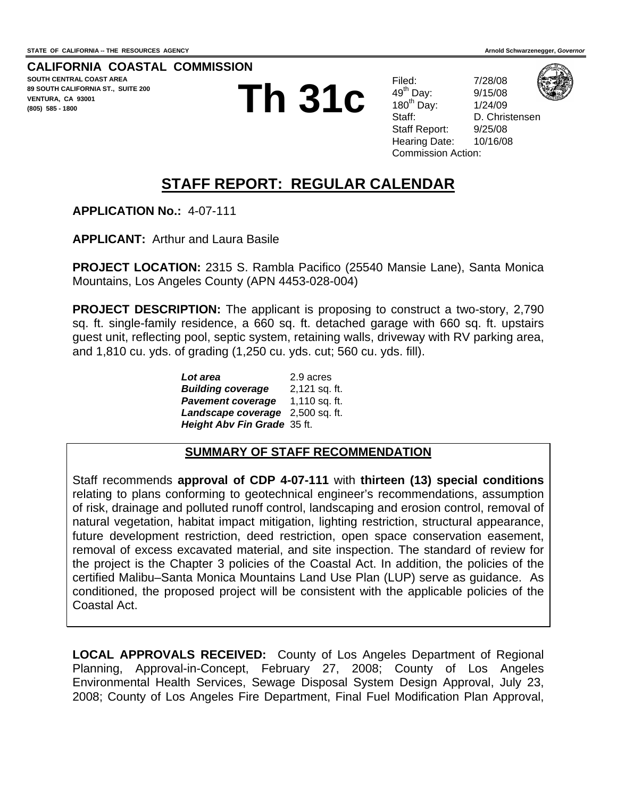**CALIFORNIA COASTAL COMMISSION SOUTH CENTRAL COAST AREA 89 SOUTH CALIFORNIA ST., SUITE 200 VENTURA, CA 93001 (805) 585 - 1800** 

**Th 22b item TTh 31c <sup>h</sup> 22b**

Filed: 7/28/08 49th Day: 9/15/08



180th Day: 1/24/09 Staff: D. Christensen Staff Report: 9/25/08 Hearing Date: 10/16/08 Commission Action:

# **STAFF REPORT: REGULAR CALENDAR**

**APPLICATION No.:** 4-07-111

**APPLICANT:** Arthur and Laura Basile

**PROJECT LOCATION:** 2315 S. Rambla Pacifico (25540 Mansie Lane), Santa Monica Mountains, Los Angeles County (APN 4453-028-004)

**PROJECT DESCRIPTION:** The applicant is proposing to construct a two-story, 2,790 sq. ft. single-family residence, a 660 sq. ft. detached garage with 660 sq. ft. upstairs guest unit, reflecting pool, septic system, retaining walls, driveway with RV parking area, and 1,810 cu. yds. of grading (1,250 cu. yds. cut; 560 cu. yds. fill).

> *Lot area*2.9 acres *Building coverage* 2,121 sq. ft. *Pavement coverage* 1,110 sq. ft. *Landscape coverage* 2,500 sq. ft. *Height Abv Fin Grade* 35 ft.

### **SUMMARY OF STAFF RECOMMENDATION**

Staff recommends **approval of CDP 4-07-111** with **thirteen (13) special conditions** relating to plans conforming to geotechnical engineer's recommendations, assumption of risk, drainage and polluted runoff control, landscaping and erosion control, removal of natural vegetation, habitat impact mitigation, lighting restriction, structural appearance, future development restriction, deed restriction, open space conservation easement, removal of excess excavated material, and site inspection. The standard of review for the project is the Chapter 3 policies of the Coastal Act. In addition, the policies of the certified Malibu–Santa Monica Mountains Land Use Plan (LUP) serve as guidance. As conditioned, the proposed project will be consistent with the applicable policies of the Coastal Act.

**LOCAL APPROVALS RECEIVED:** County of Los Angeles Department of Regional Planning, Approval-in-Concept, February 27, 2008; County of Los Angeles Environmental Health Services, Sewage Disposal System Design Approval, July 23, 2008; County of Los Angeles Fire Department, Final Fuel Modification Plan Approval,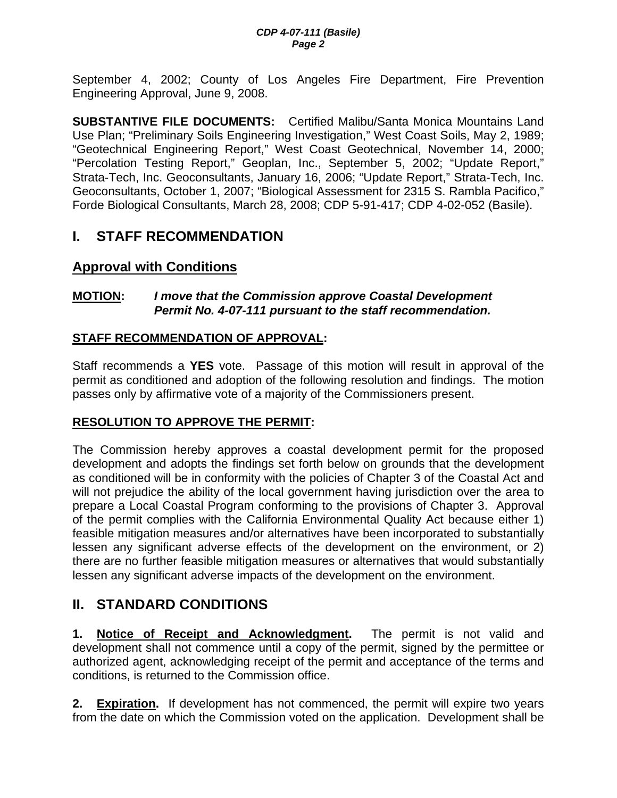September 4, 2002; County of Los Angeles Fire Department, Fire Prevention Engineering Approval, June 9, 2008.

**SUBSTANTIVE FILE DOCUMENTS:** Certified Malibu/Santa Monica Mountains Land Use Plan; "Preliminary Soils Engineering Investigation," West Coast Soils, May 2, 1989; "Geotechnical Engineering Report," West Coast Geotechnical, November 14, 2000; "Percolation Testing Report," Geoplan, Inc., September 5, 2002; "Update Report," Strata-Tech, Inc. Geoconsultants, January 16, 2006; "Update Report," Strata-Tech, Inc. Geoconsultants, October 1, 2007; "Biological Assessment for 2315 S. Rambla Pacifico," Forde Biological Consultants, March 28, 2008; CDP 5-91-417; CDP 4-02-052 (Basile).

# **I. STAFF RECOMMENDATION**

# **Approval with Conditions**

### **MOTION:** *I move that the Commission approve Coastal Development Permit No. 4-07-111 pursuant to the staff recommendation.*

### **STAFF RECOMMENDATION OF APPROVAL:**

Staff recommends a **YES** vote. Passage of this motion will result in approval of the permit as conditioned and adoption of the following resolution and findings. The motion passes only by affirmative vote of a majority of the Commissioners present.

### **RESOLUTION TO APPROVE THE PERMIT:**

The Commission hereby approves a coastal development permit for the proposed development and adopts the findings set forth below on grounds that the development as conditioned will be in conformity with the policies of Chapter 3 of the Coastal Act and will not prejudice the ability of the local government having jurisdiction over the area to prepare a Local Coastal Program conforming to the provisions of Chapter 3. Approval of the permit complies with the California Environmental Quality Act because either 1) feasible mitigation measures and/or alternatives have been incorporated to substantially lessen any significant adverse effects of the development on the environment, or 2) there are no further feasible mitigation measures or alternatives that would substantially lessen any significant adverse impacts of the development on the environment.

# **II. STANDARD CONDITIONS**

**1. Notice of Receipt and Acknowledgment.** The permit is not valid and development shall not commence until a copy of the permit, signed by the permittee or authorized agent, acknowledging receipt of the permit and acceptance of the terms and conditions, is returned to the Commission office.

**2. Expiration.** If development has not commenced, the permit will expire two years from the date on which the Commission voted on the application. Development shall be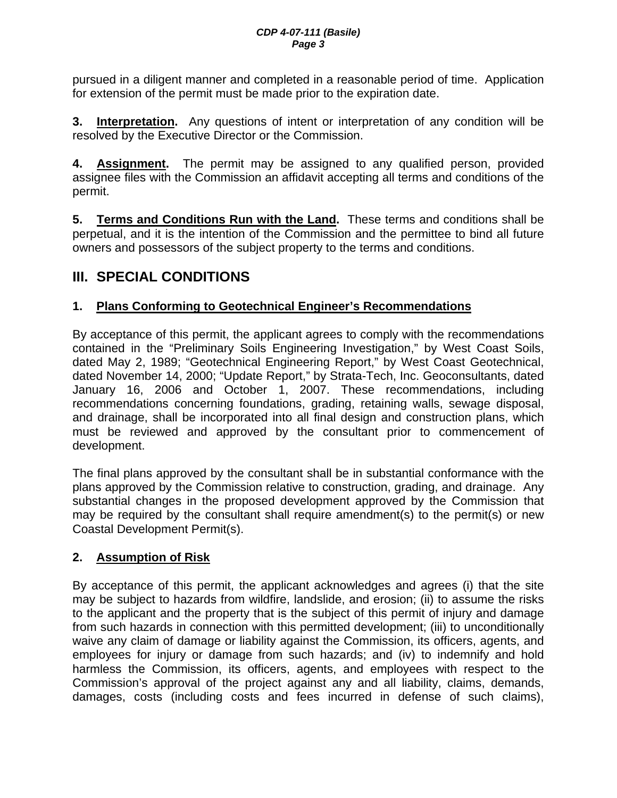pursued in a diligent manner and completed in a reasonable period of time. Application for extension of the permit must be made prior to the expiration date.

**3. Interpretation.** Any questions of intent or interpretation of any condition will be resolved by the Executive Director or the Commission.

**4. Assignment.** The permit may be assigned to any qualified person, provided assignee files with the Commission an affidavit accepting all terms and conditions of the permit.

**5. Terms and Conditions Run with the Land.** These terms and conditions shall be perpetual, and it is the intention of the Commission and the permittee to bind all future owners and possessors of the subject property to the terms and conditions.

# **III. SPECIAL CONDITIONS**

### **1. Plans Conforming to Geotechnical Engineer's Recommendations**

By acceptance of this permit, the applicant agrees to comply with the recommendations contained in the "Preliminary Soils Engineering Investigation," by West Coast Soils, dated May 2, 1989; "Geotechnical Engineering Report," by West Coast Geotechnical, dated November 14, 2000; "Update Report," by Strata-Tech, Inc. Geoconsultants, dated January 16, 2006 and October 1, 2007. These recommendations, including recommendations concerning foundations, grading, retaining walls, sewage disposal, and drainage, shall be incorporated into all final design and construction plans, which must be reviewed and approved by the consultant prior to commencement of development.

The final plans approved by the consultant shall be in substantial conformance with the plans approved by the Commission relative to construction, grading, and drainage. Any substantial changes in the proposed development approved by the Commission that may be required by the consultant shall require amendment(s) to the permit(s) or new Coastal Development Permit(s).

### **2. Assumption of Risk**

By acceptance of this permit, the applicant acknowledges and agrees (i) that the site may be subject to hazards from wildfire, landslide, and erosion; (ii) to assume the risks to the applicant and the property that is the subject of this permit of injury and damage from such hazards in connection with this permitted development; (iii) to unconditionally waive any claim of damage or liability against the Commission, its officers, agents, and employees for injury or damage from such hazards; and (iv) to indemnify and hold harmless the Commission, its officers, agents, and employees with respect to the Commission's approval of the project against any and all liability, claims, demands, damages, costs (including costs and fees incurred in defense of such claims),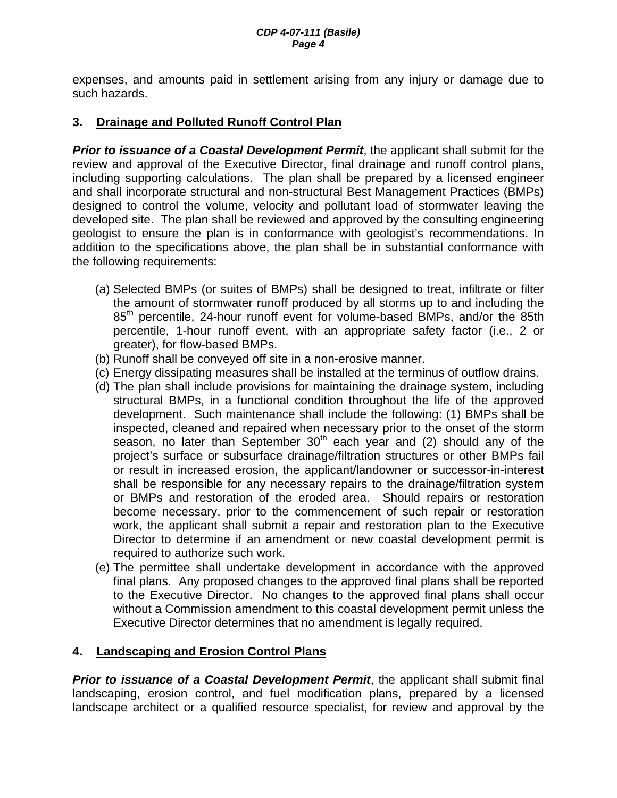expenses, and amounts paid in settlement arising from any injury or damage due to such hazards.

### **3. Drainage and Polluted Runoff Control Plan**

**Prior to issuance of a Coastal Development Permit**, the applicant shall submit for the review and approval of the Executive Director, final drainage and runoff control plans, including supporting calculations. The plan shall be prepared by a licensed engineer and shall incorporate structural and non-structural Best Management Practices (BMPs) designed to control the volume, velocity and pollutant load of stormwater leaving the developed site. The plan shall be reviewed and approved by the consulting engineering geologist to ensure the plan is in conformance with geologist's recommendations. In addition to the specifications above, the plan shall be in substantial conformance with the following requirements:

- (a) Selected BMPs (or suites of BMPs) shall be designed to treat, infiltrate or filter the amount of stormwater runoff produced by all storms up to and including the 85<sup>th</sup> percentile, 24-hour runoff event for volume-based BMPs, and/or the 85th percentile, 1-hour runoff event, with an appropriate safety factor (i.e., 2 or greater), for flow-based BMPs.
- (b) Runoff shall be conveyed off site in a non-erosive manner.
- (c) Energy dissipating measures shall be installed at the terminus of outflow drains.
- (d) The plan shall include provisions for maintaining the drainage system, including structural BMPs, in a functional condition throughout the life of the approved development. Such maintenance shall include the following: (1) BMPs shall be inspected, cleaned and repaired when necessary prior to the onset of the storm season, no later than September  $30<sup>th</sup>$  each year and (2) should any of the project's surface or subsurface drainage/filtration structures or other BMPs fail or result in increased erosion, the applicant/landowner or successor-in-interest shall be responsible for any necessary repairs to the drainage/filtration system or BMPs and restoration of the eroded area. Should repairs or restoration become necessary, prior to the commencement of such repair or restoration work, the applicant shall submit a repair and restoration plan to the Executive Director to determine if an amendment or new coastal development permit is required to authorize such work.
- (e) The permittee shall undertake development in accordance with the approved final plans. Any proposed changes to the approved final plans shall be reported to the Executive Director. No changes to the approved final plans shall occur without a Commission amendment to this coastal development permit unless the Executive Director determines that no amendment is legally required.

### **4. Landscaping and Erosion Control Plans**

**Prior to issuance of a Coastal Development Permit**, the applicant shall submit final landscaping, erosion control, and fuel modification plans, prepared by a licensed landscape architect or a qualified resource specialist, for review and approval by the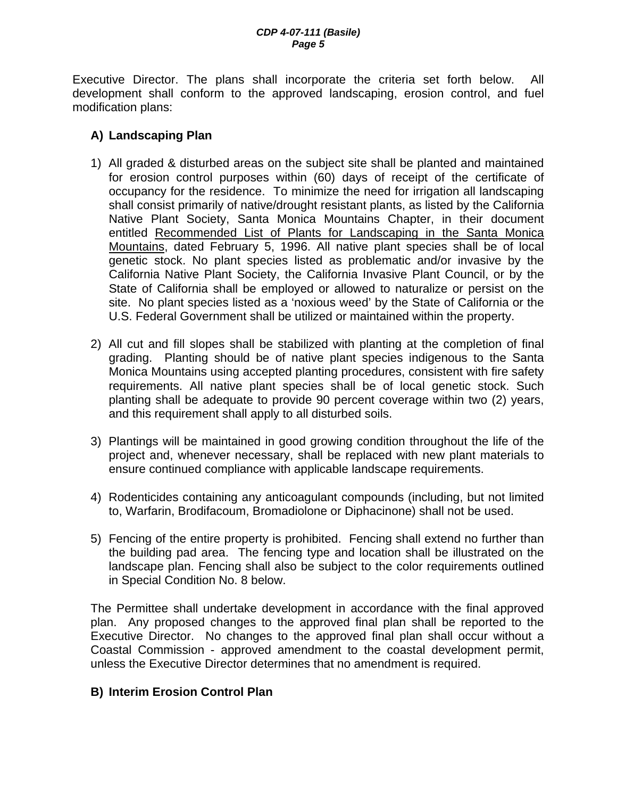Executive Director. The plans shall incorporate the criteria set forth below. All development shall conform to the approved landscaping, erosion control, and fuel modification plans:

### **A) Landscaping Plan**

- 1) All graded & disturbed areas on the subject site shall be planted and maintained for erosion control purposes within (60) days of receipt of the certificate of occupancy for the residence. To minimize the need for irrigation all landscaping shall consist primarily of native/drought resistant plants, as listed by the California Native Plant Society, Santa Monica Mountains Chapter, in their document entitled Recommended List of Plants for Landscaping in the Santa Monica Mountains, dated February 5, 1996. All native plant species shall be of local genetic stock. No plant species listed as problematic and/or invasive by the California Native Plant Society, the California Invasive Plant Council, or by the State of California shall be employed or allowed to naturalize or persist on the site. No plant species listed as a 'noxious weed' by the State of California or the U.S. Federal Government shall be utilized or maintained within the property.
- 2) All cut and fill slopes shall be stabilized with planting at the completion of final grading. Planting should be of native plant species indigenous to the Santa Monica Mountains using accepted planting procedures, consistent with fire safety requirements. All native plant species shall be of local genetic stock. Such planting shall be adequate to provide 90 percent coverage within two (2) years, and this requirement shall apply to all disturbed soils.
- 3) Plantings will be maintained in good growing condition throughout the life of the project and, whenever necessary, shall be replaced with new plant materials to ensure continued compliance with applicable landscape requirements.
- 4) Rodenticides containing any anticoagulant compounds (including, but not limited to, Warfarin, Brodifacoum, Bromadiolone or Diphacinone) shall not be used.
- 5) Fencing of the entire property is prohibited. Fencing shall extend no further than the building pad area. The fencing type and location shall be illustrated on the landscape plan. Fencing shall also be subject to the color requirements outlined in Special Condition No. 8 below.

The Permittee shall undertake development in accordance with the final approved plan. Any proposed changes to the approved final plan shall be reported to the Executive Director. No changes to the approved final plan shall occur without a Coastal Commission - approved amendment to the coastal development permit, unless the Executive Director determines that no amendment is required.

### **B) Interim Erosion Control Plan**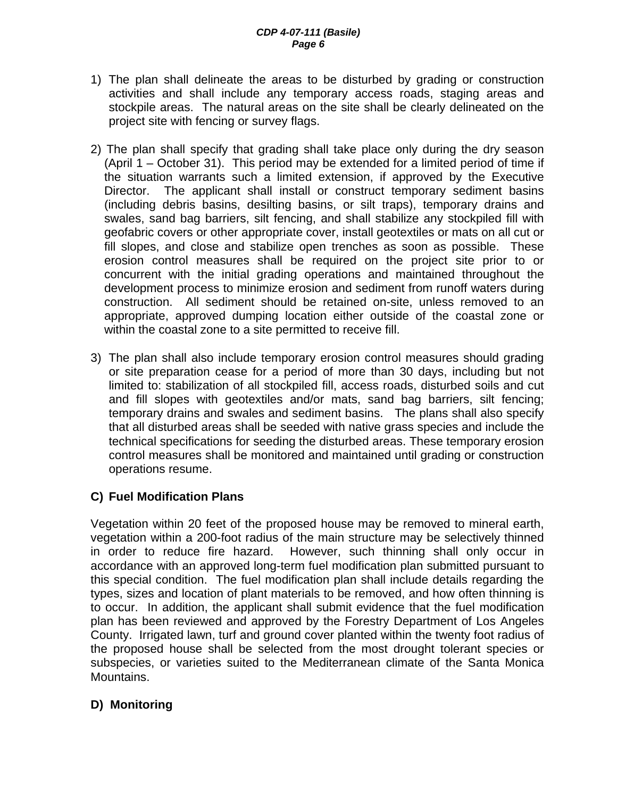- 1) The plan shall delineate the areas to be disturbed by grading or construction activities and shall include any temporary access roads, staging areas and stockpile areas. The natural areas on the site shall be clearly delineated on the project site with fencing or survey flags.
- 2) The plan shall specify that grading shall take place only during the dry season (April 1 – October 31). This period may be extended for a limited period of time if the situation warrants such a limited extension, if approved by the Executive Director. The applicant shall install or construct temporary sediment basins (including debris basins, desilting basins, or silt traps), temporary drains and swales, sand bag barriers, silt fencing, and shall stabilize any stockpiled fill with geofabric covers or other appropriate cover, install geotextiles or mats on all cut or fill slopes, and close and stabilize open trenches as soon as possible. These erosion control measures shall be required on the project site prior to or concurrent with the initial grading operations and maintained throughout the development process to minimize erosion and sediment from runoff waters during construction. All sediment should be retained on-site, unless removed to an appropriate, approved dumping location either outside of the coastal zone or within the coastal zone to a site permitted to receive fill.
- 3) The plan shall also include temporary erosion control measures should grading or site preparation cease for a period of more than 30 days, including but not limited to: stabilization of all stockpiled fill, access roads, disturbed soils and cut and fill slopes with geotextiles and/or mats, sand bag barriers, silt fencing; temporary drains and swales and sediment basins. The plans shall also specify that all disturbed areas shall be seeded with native grass species and include the technical specifications for seeding the disturbed areas. These temporary erosion control measures shall be monitored and maintained until grading or construction operations resume.

### **C) Fuel Modification Plans**

Vegetation within 20 feet of the proposed house may be removed to mineral earth, vegetation within a 200-foot radius of the main structure may be selectively thinned in order to reduce fire hazard. However, such thinning shall only occur in accordance with an approved long-term fuel modification plan submitted pursuant to this special condition. The fuel modification plan shall include details regarding the types, sizes and location of plant materials to be removed, and how often thinning is to occur. In addition, the applicant shall submit evidence that the fuel modification plan has been reviewed and approved by the Forestry Department of Los Angeles County. Irrigated lawn, turf and ground cover planted within the twenty foot radius of the proposed house shall be selected from the most drought tolerant species or subspecies, or varieties suited to the Mediterranean climate of the Santa Monica Mountains.

### **D) Monitoring**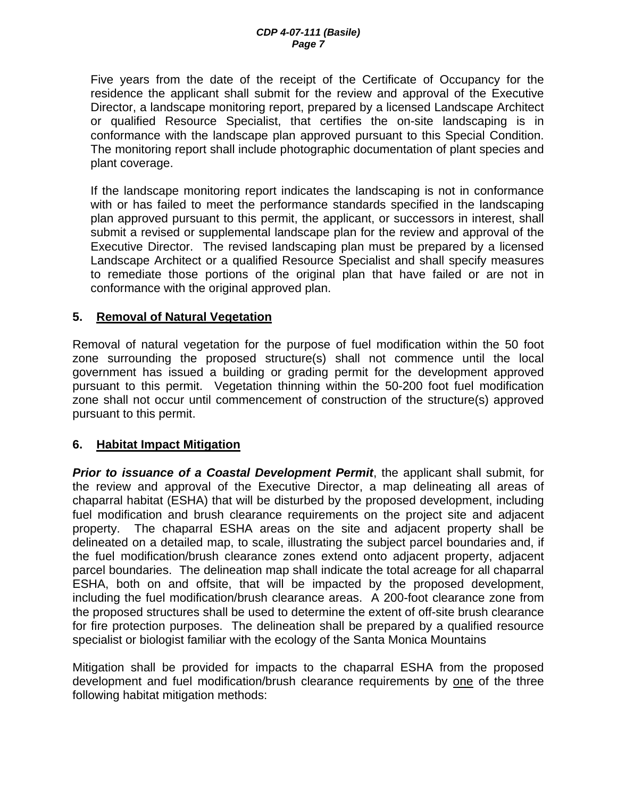Five years from the date of the receipt of the Certificate of Occupancy for the residence the applicant shall submit for the review and approval of the Executive Director, a landscape monitoring report, prepared by a licensed Landscape Architect or qualified Resource Specialist, that certifies the on-site landscaping is in conformance with the landscape plan approved pursuant to this Special Condition. The monitoring report shall include photographic documentation of plant species and plant coverage.

If the landscape monitoring report indicates the landscaping is not in conformance with or has failed to meet the performance standards specified in the landscaping plan approved pursuant to this permit, the applicant, or successors in interest, shall submit a revised or supplemental landscape plan for the review and approval of the Executive Director. The revised landscaping plan must be prepared by a licensed Landscape Architect or a qualified Resource Specialist and shall specify measures to remediate those portions of the original plan that have failed or are not in conformance with the original approved plan.

#### **5. Removal of Natural Vegetation**

Removal of natural vegetation for the purpose of fuel modification within the 50 foot zone surrounding the proposed structure(s) shall not commence until the local government has issued a building or grading permit for the development approved pursuant to this permit. Vegetation thinning within the 50-200 foot fuel modification zone shall not occur until commencement of construction of the structure(s) approved pursuant to this permit.

#### **6. Habitat Impact Mitigation**

*Prior to issuance of a Coastal Development Permit*, the applicant shall submit, for the review and approval of the Executive Director, a map delineating all areas of chaparral habitat (ESHA) that will be disturbed by the proposed development, including fuel modification and brush clearance requirements on the project site and adjacent property. The chaparral ESHA areas on the site and adjacent property shall be delineated on a detailed map, to scale, illustrating the subject parcel boundaries and, if the fuel modification/brush clearance zones extend onto adjacent property, adjacent parcel boundaries. The delineation map shall indicate the total acreage for all chaparral ESHA, both on and offsite, that will be impacted by the proposed development, including the fuel modification/brush clearance areas. A 200-foot clearance zone from the proposed structures shall be used to determine the extent of off-site brush clearance for fire protection purposes. The delineation shall be prepared by a qualified resource specialist or biologist familiar with the ecology of the Santa Monica Mountains

Mitigation shall be provided for impacts to the chaparral ESHA from the proposed development and fuel modification/brush clearance requirements by one of the three following habitat mitigation methods: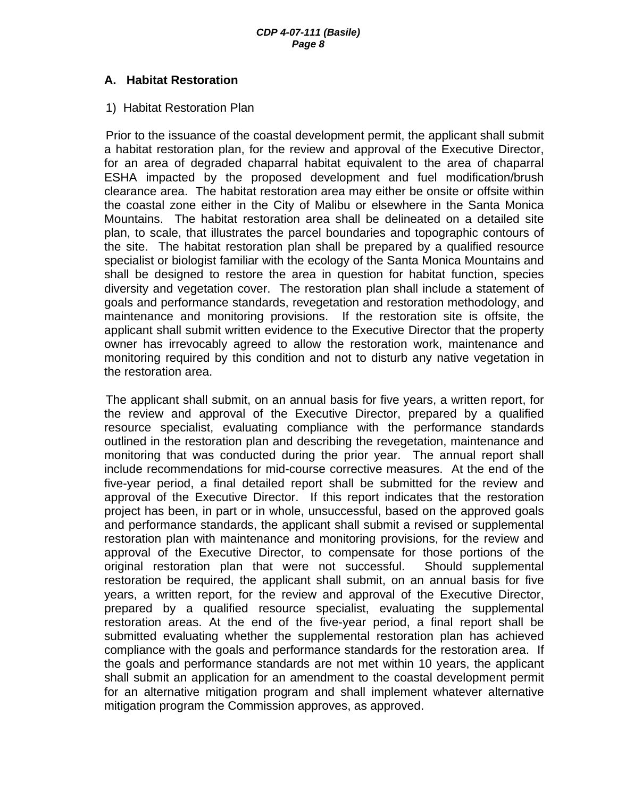#### **A. Habitat Restoration**

#### 1) Habitat Restoration Plan

Prior to the issuance of the coastal development permit, the applicant shall submit a habitat restoration plan, for the review and approval of the Executive Director, for an area of degraded chaparral habitat equivalent to the area of chaparral ESHA impacted by the proposed development and fuel modification/brush clearance area. The habitat restoration area may either be onsite or offsite within the coastal zone either in the City of Malibu or elsewhere in the Santa Monica Mountains. The habitat restoration area shall be delineated on a detailed site plan, to scale, that illustrates the parcel boundaries and topographic contours of the site. The habitat restoration plan shall be prepared by a qualified resource specialist or biologist familiar with the ecology of the Santa Monica Mountains and shall be designed to restore the area in question for habitat function, species diversity and vegetation cover. The restoration plan shall include a statement of goals and performance standards, revegetation and restoration methodology, and maintenance and monitoring provisions. If the restoration site is offsite, the applicant shall submit written evidence to the Executive Director that the property owner has irrevocably agreed to allow the restoration work, maintenance and monitoring required by this condition and not to disturb any native vegetation in the restoration area.

The applicant shall submit, on an annual basis for five years, a written report, for the review and approval of the Executive Director, prepared by a qualified resource specialist, evaluating compliance with the performance standards outlined in the restoration plan and describing the revegetation, maintenance and monitoring that was conducted during the prior year. The annual report shall include recommendations for mid-course corrective measures. At the end of the five-year period, a final detailed report shall be submitted for the review and approval of the Executive Director. If this report indicates that the restoration project has been, in part or in whole, unsuccessful, based on the approved goals and performance standards, the applicant shall submit a revised or supplemental restoration plan with maintenance and monitoring provisions, for the review and approval of the Executive Director, to compensate for those portions of the original restoration plan that were not successful. Should supplemental restoration be required, the applicant shall submit, on an annual basis for five years, a written report, for the review and approval of the Executive Director, prepared by a qualified resource specialist, evaluating the supplemental restoration areas. At the end of the five-year period, a final report shall be submitted evaluating whether the supplemental restoration plan has achieved compliance with the goals and performance standards for the restoration area. If the goals and performance standards are not met within 10 years, the applicant shall submit an application for an amendment to the coastal development permit for an alternative mitigation program and shall implement whatever alternative mitigation program the Commission approves, as approved.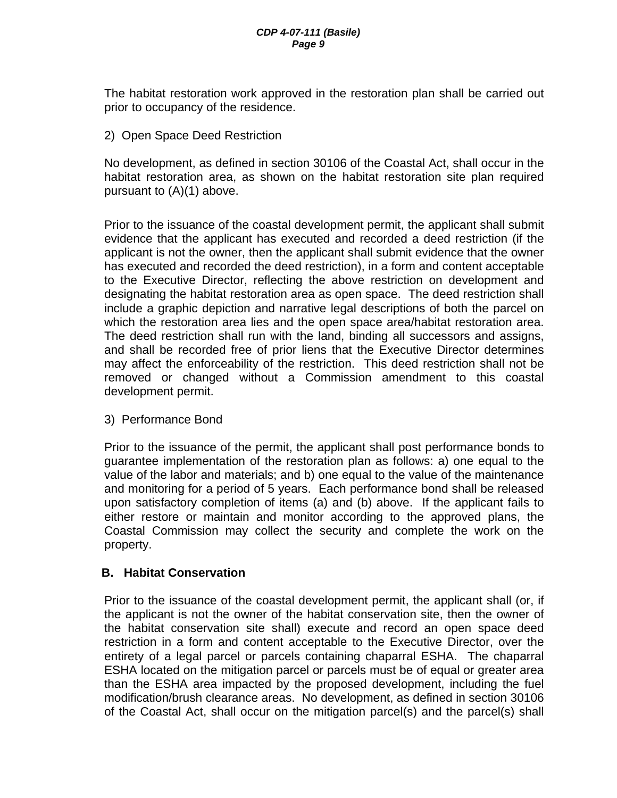The habitat restoration work approved in the restoration plan shall be carried out prior to occupancy of the residence.

2) Open Space Deed Restriction

No development, as defined in section 30106 of the Coastal Act, shall occur in the habitat restoration area, as shown on the habitat restoration site plan required pursuant to (A)(1) above.

Prior to the issuance of the coastal development permit, the applicant shall submit evidence that the applicant has executed and recorded a deed restriction (if the applicant is not the owner, then the applicant shall submit evidence that the owner has executed and recorded the deed restriction), in a form and content acceptable to the Executive Director, reflecting the above restriction on development and designating the habitat restoration area as open space. The deed restriction shall include a graphic depiction and narrative legal descriptions of both the parcel on which the restoration area lies and the open space area/habitat restoration area. The deed restriction shall run with the land, binding all successors and assigns, and shall be recorded free of prior liens that the Executive Director determines may affect the enforceability of the restriction. This deed restriction shall not be removed or changed without a Commission amendment to this coastal development permit.

3) Performance Bond

Prior to the issuance of the permit, the applicant shall post performance bonds to guarantee implementation of the restoration plan as follows: a) one equal to the value of the labor and materials; and b) one equal to the value of the maintenance and monitoring for a period of 5 years. Each performance bond shall be released upon satisfactory completion of items (a) and (b) above. If the applicant fails to either restore or maintain and monitor according to the approved plans, the Coastal Commission may collect the security and complete the work on the property.

### **B. Habitat Conservation**

Prior to the issuance of the coastal development permit, the applicant shall (or, if the applicant is not the owner of the habitat conservation site, then the owner of the habitat conservation site shall) execute and record an open space deed restriction in a form and content acceptable to the Executive Director, over the entirety of a legal parcel or parcels containing chaparral ESHA. The chaparral ESHA located on the mitigation parcel or parcels must be of equal or greater area than the ESHA area impacted by the proposed development, including the fuel modification/brush clearance areas. No development, as defined in section 30106 of the Coastal Act, shall occur on the mitigation parcel(s) and the parcel(s) shall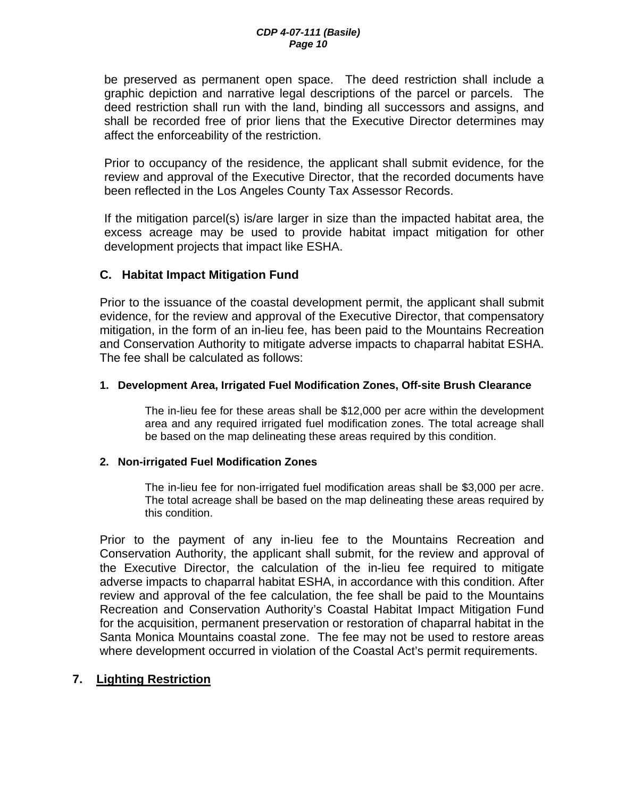be preserved as permanent open space. The deed restriction shall include a graphic depiction and narrative legal descriptions of the parcel or parcels. The deed restriction shall run with the land, binding all successors and assigns, and shall be recorded free of prior liens that the Executive Director determines may affect the enforceability of the restriction.

Prior to occupancy of the residence, the applicant shall submit evidence, for the review and approval of the Executive Director, that the recorded documents have been reflected in the Los Angeles County Tax Assessor Records.

If the mitigation parcel(s) is/are larger in size than the impacted habitat area, the excess acreage may be used to provide habitat impact mitigation for other development projects that impact like ESHA.

### **C. Habitat Impact Mitigation Fund**

Prior to the issuance of the coastal development permit, the applicant shall submit evidence, for the review and approval of the Executive Director, that compensatory mitigation, in the form of an in-lieu fee, has been paid to the Mountains Recreation and Conservation Authority to mitigate adverse impacts to chaparral habitat ESHA. The fee shall be calculated as follows:

#### **1. Development Area, Irrigated Fuel Modification Zones, Off-site Brush Clearance**

The in-lieu fee for these areas shall be \$12,000 per acre within the development area and any required irrigated fuel modification zones. The total acreage shall be based on the map delineating these areas required by this condition.

#### **2. Non-irrigated Fuel Modification Zones**

The in-lieu fee for non-irrigated fuel modification areas shall be \$3,000 per acre. The total acreage shall be based on the map delineating these areas required by this condition.

Prior to the payment of any in-lieu fee to the Mountains Recreation and Conservation Authority, the applicant shall submit, for the review and approval of the Executive Director, the calculation of the in-lieu fee required to mitigate adverse impacts to chaparral habitat ESHA, in accordance with this condition. After review and approval of the fee calculation, the fee shall be paid to the Mountains Recreation and Conservation Authority's Coastal Habitat Impact Mitigation Fund for the acquisition, permanent preservation or restoration of chaparral habitat in the Santa Monica Mountains coastal zone. The fee may not be used to restore areas where development occurred in violation of the Coastal Act's permit requirements.

#### **7. Lighting Restriction**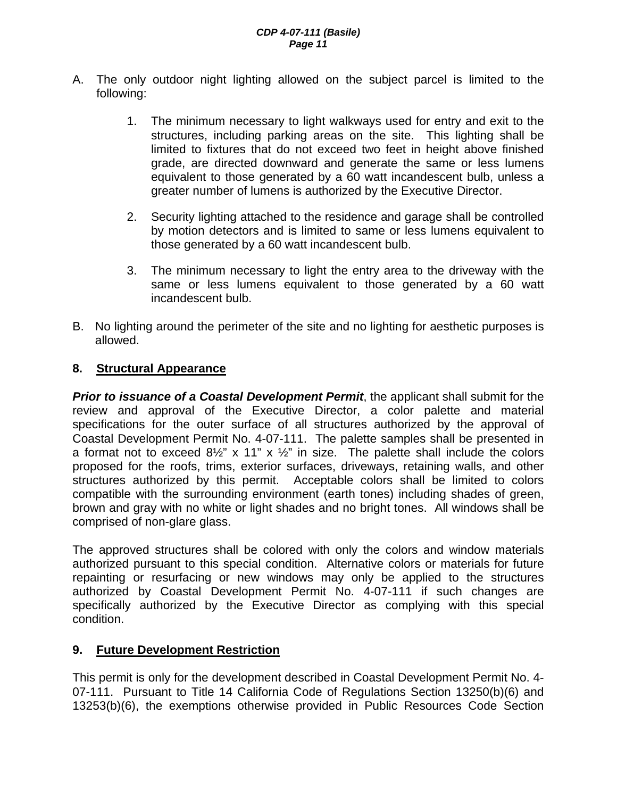- A. The only outdoor night lighting allowed on the subject parcel is limited to the following:
	- 1. The minimum necessary to light walkways used for entry and exit to the structures, including parking areas on the site. This lighting shall be limited to fixtures that do not exceed two feet in height above finished grade, are directed downward and generate the same or less lumens equivalent to those generated by a 60 watt incandescent bulb, unless a greater number of lumens is authorized by the Executive Director.
	- 2. Security lighting attached to the residence and garage shall be controlled by motion detectors and is limited to same or less lumens equivalent to those generated by a 60 watt incandescent bulb.
	- 3. The minimum necessary to light the entry area to the driveway with the same or less lumens equivalent to those generated by a 60 watt incandescent bulb.
- B. No lighting around the perimeter of the site and no lighting for aesthetic purposes is allowed.

#### **8. Structural Appearance**

*Prior to issuance of a Coastal Development Permit*, the applicant shall submit for the review and approval of the Executive Director, a color palette and material specifications for the outer surface of all structures authorized by the approval of Coastal Development Permit No. 4-07-111. The palette samples shall be presented in a format not to exceed  $8\frac{1}{2}$ " x 11" x  $\frac{1}{2}$ " in size. The palette shall include the colors proposed for the roofs, trims, exterior surfaces, driveways, retaining walls, and other structures authorized by this permit. Acceptable colors shall be limited to colors compatible with the surrounding environment (earth tones) including shades of green, brown and gray with no white or light shades and no bright tones. All windows shall be comprised of non-glare glass.

The approved structures shall be colored with only the colors and window materials authorized pursuant to this special condition. Alternative colors or materials for future repainting or resurfacing or new windows may only be applied to the structures authorized by Coastal Development Permit No. 4-07-111 if such changes are specifically authorized by the Executive Director as complying with this special condition.

#### **9. Future Development Restriction**

This permit is only for the development described in Coastal Development Permit No. 4- 07-111. Pursuant to Title 14 California Code of Regulations Section 13250(b)(6) and 13253(b)(6), the exemptions otherwise provided in Public Resources Code Section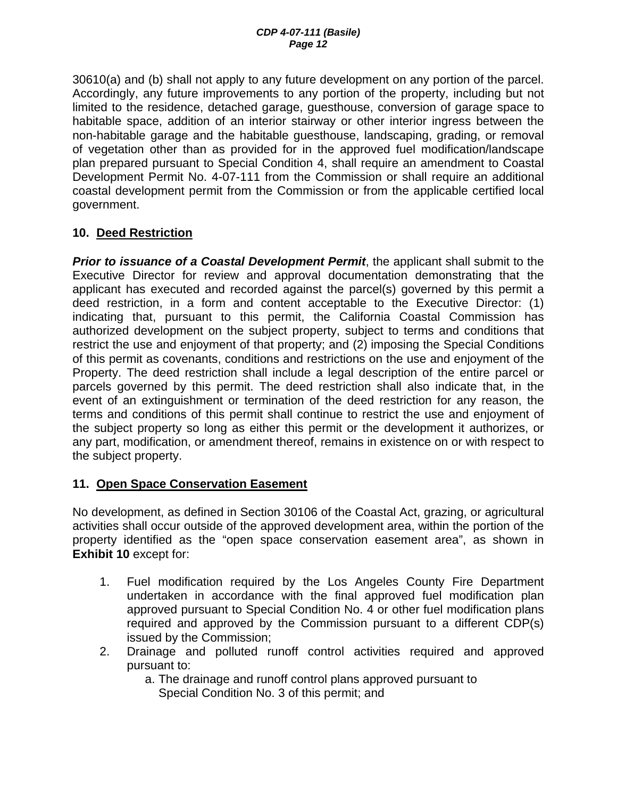30610(a) and (b) shall not apply to any future development on any portion of the parcel. Accordingly, any future improvements to any portion of the property, including but not limited to the residence, detached garage, guesthouse, conversion of garage space to habitable space, addition of an interior stairway or other interior ingress between the non-habitable garage and the habitable guesthouse, landscaping, grading, or removal of vegetation other than as provided for in the approved fuel modification/landscape plan prepared pursuant to Special Condition 4, shall require an amendment to Coastal Development Permit No. 4-07-111 from the Commission or shall require an additional coastal development permit from the Commission or from the applicable certified local government.

### **10. Deed Restriction**

*Prior to issuance of a Coastal Development Permit*, the applicant shall submit to the Executive Director for review and approval documentation demonstrating that the applicant has executed and recorded against the parcel(s) governed by this permit a deed restriction, in a form and content acceptable to the Executive Director: (1) indicating that, pursuant to this permit, the California Coastal Commission has authorized development on the subject property, subject to terms and conditions that restrict the use and enjoyment of that property; and (2) imposing the Special Conditions of this permit as covenants, conditions and restrictions on the use and enjoyment of the Property. The deed restriction shall include a legal description of the entire parcel or parcels governed by this permit. The deed restriction shall also indicate that, in the event of an extinguishment or termination of the deed restriction for any reason, the terms and conditions of this permit shall continue to restrict the use and enjoyment of the subject property so long as either this permit or the development it authorizes, or any part, modification, or amendment thereof, remains in existence on or with respect to the subject property.

### **11. Open Space Conservation Easement**

No development, as defined in Section 30106 of the Coastal Act, grazing, or agricultural activities shall occur outside of the approved development area, within the portion of the property identified as the "open space conservation easement area", as shown in **Exhibit 10** except for:

- 1. Fuel modification required by the Los Angeles County Fire Department undertaken in accordance with the final approved fuel modification plan approved pursuant to Special Condition No. 4 or other fuel modification plans required and approved by the Commission pursuant to a different CDP(s) issued by the Commission;
- 2. Drainage and polluted runoff control activities required and approved pursuant to:

a. The drainage and runoff control plans approved pursuant to

Special Condition No. 3 of this permit; and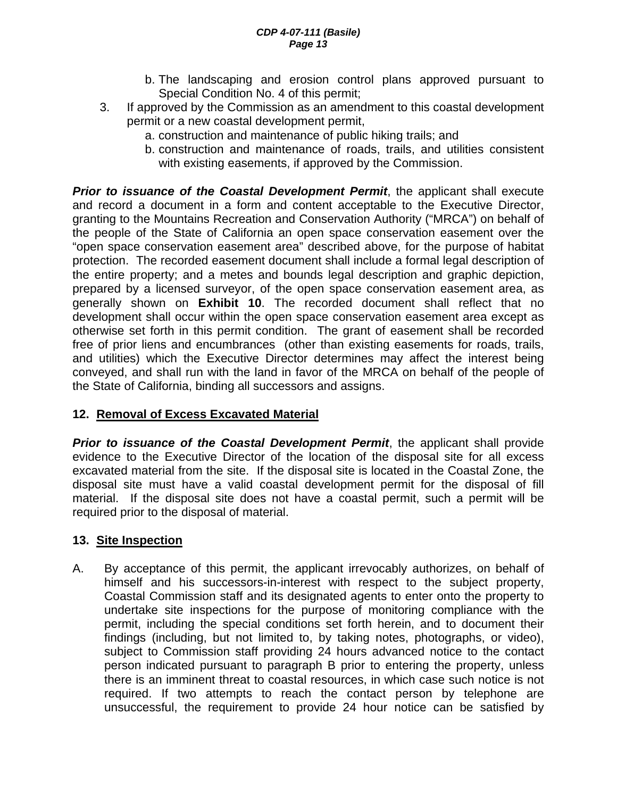- b. The landscaping and erosion control plans approved pursuant to Special Condition No. 4 of this permit;
- 3. If approved by the Commission as an amendment to this coastal development permit or a new coastal development permit,
	- a. construction and maintenance of public hiking trails; and
	- b. construction and maintenance of roads, trails, and utilities consistent with existing easements, if approved by the Commission.

*Prior to issuance of the Coastal Development Permit*, the applicant shall execute and record a document in a form and content acceptable to the Executive Director, granting to the Mountains Recreation and Conservation Authority ("MRCA") on behalf of the people of the State of California an open space conservation easement over the "open space conservation easement area" described above, for the purpose of habitat protection. The recorded easement document shall include a formal legal description of the entire property; and a metes and bounds legal description and graphic depiction, prepared by a licensed surveyor, of the open space conservation easement area, as generally shown on **Exhibit 10**. The recorded document shall reflect that no development shall occur within the open space conservation easement area except as otherwise set forth in this permit condition. The grant of easement shall be recorded free of prior liens and encumbrances (other than existing easements for roads, trails, and utilities) which the Executive Director determines may affect the interest being conveyed, and shall run with the land in favor of the MRCA on behalf of the people of the State of California, binding all successors and assigns.

### **12. Removal of Excess Excavated Material**

**Prior to issuance of the Coastal Development Permit**, the applicant shall provide evidence to the Executive Director of the location of the disposal site for all excess excavated material from the site. If the disposal site is located in the Coastal Zone, the disposal site must have a valid coastal development permit for the disposal of fill material. If the disposal site does not have a coastal permit, such a permit will be required prior to the disposal of material.

### **13. Site Inspection**

A. By acceptance of this permit, the applicant irrevocably authorizes, on behalf of himself and his successors-in-interest with respect to the subject property, Coastal Commission staff and its designated agents to enter onto the property to undertake site inspections for the purpose of monitoring compliance with the permit, including the special conditions set forth herein, and to document their findings (including, but not limited to, by taking notes, photographs, or video), subject to Commission staff providing 24 hours advanced notice to the contact person indicated pursuant to paragraph B prior to entering the property, unless there is an imminent threat to coastal resources, in which case such notice is not required. If two attempts to reach the contact person by telephone are unsuccessful, the requirement to provide 24 hour notice can be satisfied by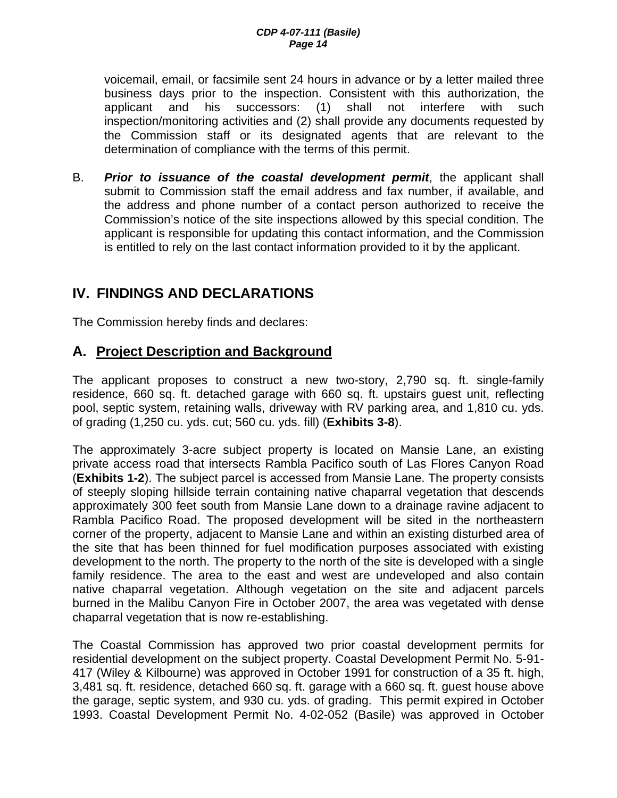voicemail, email, or facsimile sent 24 hours in advance or by a letter mailed three business days prior to the inspection. Consistent with this authorization, the applicant and his successors: (1) shall not interfere with such inspection/monitoring activities and (2) shall provide any documents requested by the Commission staff or its designated agents that are relevant to the determination of compliance with the terms of this permit.

B. *Prior to issuance of the coastal development permit*, the applicant shall submit to Commission staff the email address and fax number, if available, and the address and phone number of a contact person authorized to receive the Commission's notice of the site inspections allowed by this special condition. The applicant is responsible for updating this contact information, and the Commission is entitled to rely on the last contact information provided to it by the applicant.

# **IV. FINDINGS AND DECLARATIONS**

The Commission hereby finds and declares:

## **A. Project Description and Background**

The applicant proposes to construct a new two-story, 2,790 sq. ft. single-family residence, 660 sq. ft. detached garage with 660 sq. ft. upstairs guest unit, reflecting pool, septic system, retaining walls, driveway with RV parking area, and 1,810 cu. yds. of grading (1,250 cu. yds. cut; 560 cu. yds. fill) (**Exhibits 3-8**).

The approximately 3-acre subject property is located on Mansie Lane, an existing private access road that intersects Rambla Pacifico south of Las Flores Canyon Road (**Exhibits 1-2**). The subject parcel is accessed from Mansie Lane. The property consists of steeply sloping hillside terrain containing native chaparral vegetation that descends approximately 300 feet south from Mansie Lane down to a drainage ravine adjacent to Rambla Pacifico Road. The proposed development will be sited in the northeastern corner of the property, adjacent to Mansie Lane and within an existing disturbed area of the site that has been thinned for fuel modification purposes associated with existing development to the north. The property to the north of the site is developed with a single family residence. The area to the east and west are undeveloped and also contain native chaparral vegetation. Although vegetation on the site and adjacent parcels burned in the Malibu Canyon Fire in October 2007, the area was vegetated with dense chaparral vegetation that is now re-establishing.

The Coastal Commission has approved two prior coastal development permits for residential development on the subject property. Coastal Development Permit No. 5-91- 417 (Wiley & Kilbourne) was approved in October 1991 for construction of a 35 ft. high, 3,481 sq. ft. residence, detached 660 sq. ft. garage with a 660 sq. ft. guest house above the garage, septic system, and 930 cu. yds. of grading. This permit expired in October 1993. Coastal Development Permit No. 4-02-052 (Basile) was approved in October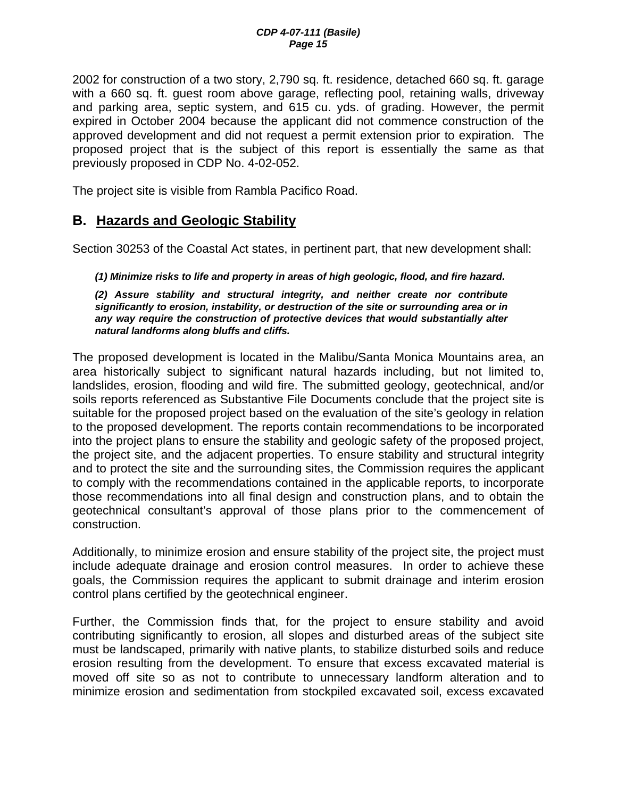2002 for construction of a two story, 2,790 sq. ft. residence, detached 660 sq. ft. garage with a 660 sq. ft. guest room above garage, reflecting pool, retaining walls, driveway and parking area, septic system, and 615 cu. yds. of grading. However, the permit expired in October 2004 because the applicant did not commence construction of the approved development and did not request a permit extension prior to expiration. The proposed project that is the subject of this report is essentially the same as that previously proposed in CDP No. 4-02-052.

The project site is visible from Rambla Pacifico Road.

### **B. Hazards and Geologic Stability**

Section 30253 of the Coastal Act states, in pertinent part, that new development shall:

#### *(1) Minimize risks to life and property in areas of high geologic, flood, and fire hazard.*

*(2) Assure stability and structural integrity, and neither create nor contribute significantly to erosion, instability, or destruction of the site or surrounding area or in any way require the construction of protective devices that would substantially alter natural landforms along bluffs and cliffs.* 

The proposed development is located in the Malibu/Santa Monica Mountains area, an area historically subject to significant natural hazards including, but not limited to, landslides, erosion, flooding and wild fire. The submitted geology, geotechnical, and/or soils reports referenced as Substantive File Documents conclude that the project site is suitable for the proposed project based on the evaluation of the site's geology in relation to the proposed development. The reports contain recommendations to be incorporated into the project plans to ensure the stability and geologic safety of the proposed project, the project site, and the adjacent properties. To ensure stability and structural integrity and to protect the site and the surrounding sites, the Commission requires the applicant to comply with the recommendations contained in the applicable reports, to incorporate those recommendations into all final design and construction plans, and to obtain the geotechnical consultant's approval of those plans prior to the commencement of construction.

Additionally, to minimize erosion and ensure stability of the project site, the project must include adequate drainage and erosion control measures. In order to achieve these goals, the Commission requires the applicant to submit drainage and interim erosion control plans certified by the geotechnical engineer.

Further, the Commission finds that, for the project to ensure stability and avoid contributing significantly to erosion, all slopes and disturbed areas of the subject site must be landscaped, primarily with native plants, to stabilize disturbed soils and reduce erosion resulting from the development. To ensure that excess excavated material is moved off site so as not to contribute to unnecessary landform alteration and to minimize erosion and sedimentation from stockpiled excavated soil, excess excavated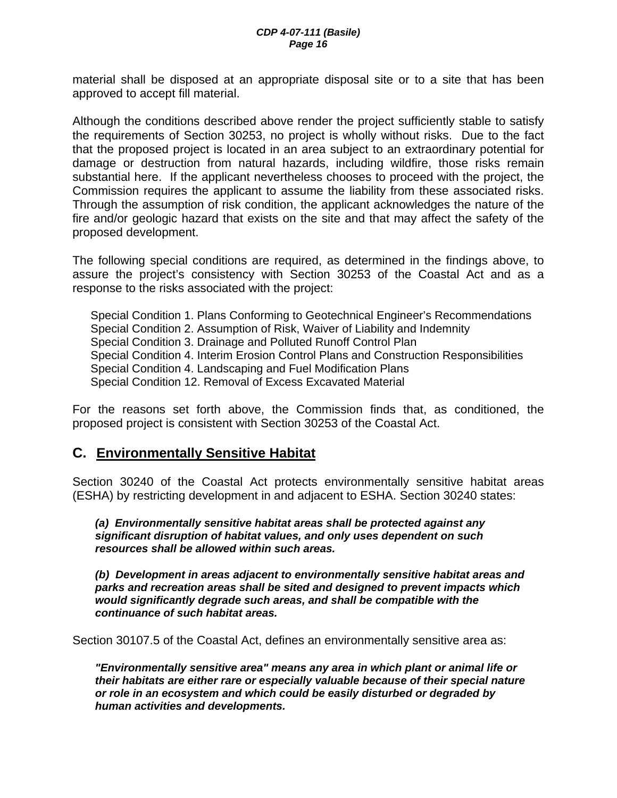material shall be disposed at an appropriate disposal site or to a site that has been approved to accept fill material.

Although the conditions described above render the project sufficiently stable to satisfy the requirements of Section 30253, no project is wholly without risks. Due to the fact that the proposed project is located in an area subject to an extraordinary potential for damage or destruction from natural hazards, including wildfire, those risks remain substantial here. If the applicant nevertheless chooses to proceed with the project, the Commission requires the applicant to assume the liability from these associated risks. Through the assumption of risk condition, the applicant acknowledges the nature of the fire and/or geologic hazard that exists on the site and that may affect the safety of the proposed development.

The following special conditions are required, as determined in the findings above, to assure the project's consistency with Section 30253 of the Coastal Act and as a response to the risks associated with the project:

Special Condition 1. Plans Conforming to Geotechnical Engineer's Recommendations Special Condition 2. Assumption of Risk, Waiver of Liability and Indemnity Special Condition 3. Drainage and Polluted Runoff Control Plan Special Condition 4. Interim Erosion Control Plans and Construction Responsibilities Special Condition 4. Landscaping and Fuel Modification Plans Special Condition 12. Removal of Excess Excavated Material

For the reasons set forth above, the Commission finds that, as conditioned, the proposed project is consistent with Section 30253 of the Coastal Act.

### **C. Environmentally Sensitive Habitat**

Section 30240 of the Coastal Act protects environmentally sensitive habitat areas (ESHA) by restricting development in and adjacent to ESHA. Section 30240 states:

*(a) Environmentally sensitive habitat areas shall be protected against any significant disruption of habitat values, and only uses dependent on such resources shall be allowed within such areas.* 

 *(b) Development in areas adjacent to environmentally sensitive habitat areas and parks and recreation areas shall be sited and designed to prevent impacts which would significantly degrade such areas, and shall be compatible with the continuance of such habitat areas.*

Section 30107.5 of the Coastal Act, defines an environmentally sensitive area as:

*"Environmentally sensitive area" means any area in which plant or animal life or their habitats are either rare or especially valuable because of their special nature or role in an ecosystem and which could be easily disturbed or degraded by human activities and developments.*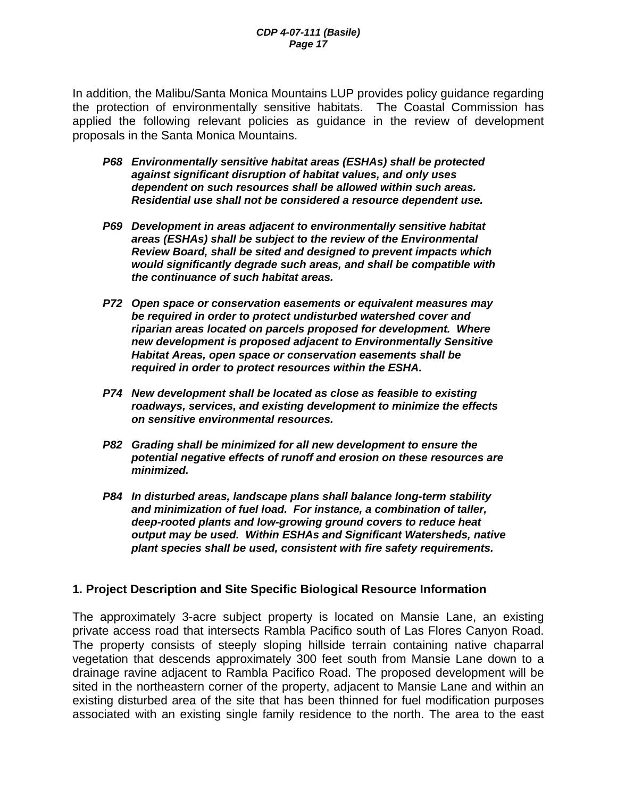In addition, the Malibu/Santa Monica Mountains LUP provides policy guidance regarding the protection of environmentally sensitive habitats. The Coastal Commission has applied the following relevant policies as guidance in the review of development proposals in the Santa Monica Mountains.

- *P68 Environmentally sensitive habitat areas (ESHAs) shall be protected against significant disruption of habitat values, and only uses dependent on such resources shall be allowed within such areas. Residential use shall not be considered a resource dependent use.*
- *P69 Development in areas adjacent to environmentally sensitive habitat areas (ESHAs) shall be subject to the review of the Environmental Review Board, shall be sited and designed to prevent impacts which would significantly degrade such areas, and shall be compatible with the continuance of such habitat areas.*
- *P72 Open space or conservation easements or equivalent measures may be required in order to protect undisturbed watershed cover and riparian areas located on parcels proposed for development. Where new development is proposed adjacent to Environmentally Sensitive Habitat Areas, open space or conservation easements shall be required in order to protect resources within the ESHA.*
- *P74 New development shall be located as close as feasible to existing roadways, services, and existing development to minimize the effects on sensitive environmental resources.*
- *P82 Grading shall be minimized for all new development to ensure the potential negative effects of runoff and erosion on these resources are minimized.*
- *P84 In disturbed areas, landscape plans shall balance long-term stability and minimization of fuel load. For instance, a combination of taller, deep-rooted plants and low-growing ground covers to reduce heat output may be used. Within ESHAs and Significant Watersheds, native plant species shall be used, consistent with fire safety requirements.*

#### **1. Project Description and Site Specific Biological Resource Information**

The approximately 3-acre subject property is located on Mansie Lane, an existing private access road that intersects Rambla Pacifico south of Las Flores Canyon Road. The property consists of steeply sloping hillside terrain containing native chaparral vegetation that descends approximately 300 feet south from Mansie Lane down to a drainage ravine adjacent to Rambla Pacifico Road. The proposed development will be sited in the northeastern corner of the property, adjacent to Mansie Lane and within an existing disturbed area of the site that has been thinned for fuel modification purposes associated with an existing single family residence to the north. The area to the east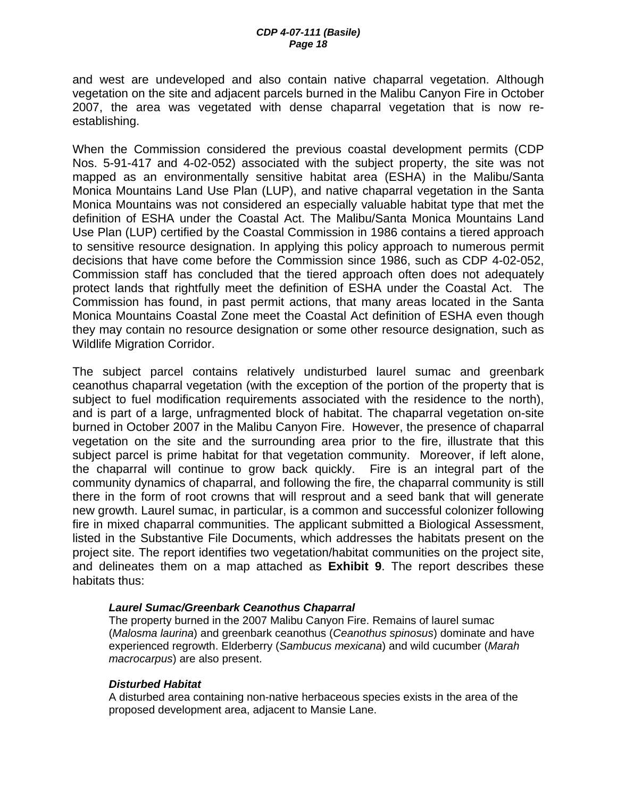and west are undeveloped and also contain native chaparral vegetation. Although vegetation on the site and adjacent parcels burned in the Malibu Canyon Fire in October 2007, the area was vegetated with dense chaparral vegetation that is now reestablishing.

When the Commission considered the previous coastal development permits (CDP Nos. 5-91-417 and 4-02-052) associated with the subject property, the site was not mapped as an environmentally sensitive habitat area (ESHA) in the Malibu/Santa Monica Mountains Land Use Plan (LUP), and native chaparral vegetation in the Santa Monica Mountains was not considered an especially valuable habitat type that met the definition of ESHA under the Coastal Act. The Malibu/Santa Monica Mountains Land Use Plan (LUP) certified by the Coastal Commission in 1986 contains a tiered approach to sensitive resource designation. In applying this policy approach to numerous permit decisions that have come before the Commission since 1986, such as CDP 4-02-052, Commission staff has concluded that the tiered approach often does not adequately protect lands that rightfully meet the definition of ESHA under the Coastal Act. The Commission has found, in past permit actions, that many areas located in the Santa Monica Mountains Coastal Zone meet the Coastal Act definition of ESHA even though they may contain no resource designation or some other resource designation, such as Wildlife Migration Corridor.

The subject parcel contains relatively undisturbed laurel sumac and greenbark ceanothus chaparral vegetation (with the exception of the portion of the property that is subject to fuel modification requirements associated with the residence to the north), and is part of a large, unfragmented block of habitat. The chaparral vegetation on-site burned in October 2007 in the Malibu Canyon Fire. However, the presence of chaparral vegetation on the site and the surrounding area prior to the fire, illustrate that this subject parcel is prime habitat for that vegetation community. Moreover, if left alone, the chaparral will continue to grow back quickly. Fire is an integral part of the community dynamics of chaparral, and following the fire, the chaparral community is still there in the form of root crowns that will resprout and a seed bank that will generate new growth. Laurel sumac, in particular, is a common and successful colonizer following fire in mixed chaparral communities. The applicant submitted a Biological Assessment, listed in the Substantive File Documents, which addresses the habitats present on the project site. The report identifies two vegetation/habitat communities on the project site, and delineates them on a map attached as **Exhibit 9**. The report describes these habitats thus:

#### *Laurel Sumac/Greenbark Ceanothus Chaparral*

The property burned in the 2007 Malibu Canyon Fire. Remains of laurel sumac (*Malosma laurina*) and greenbark ceanothus (*Ceanothus spinosus*) dominate and have experienced regrowth. Elderberry (*Sambucus mexicana*) and wild cucumber (*Marah macrocarpus*) are also present.

#### *Disturbed Habitat*

A disturbed area containing non-native herbaceous species exists in the area of the proposed development area, adjacent to Mansie Lane.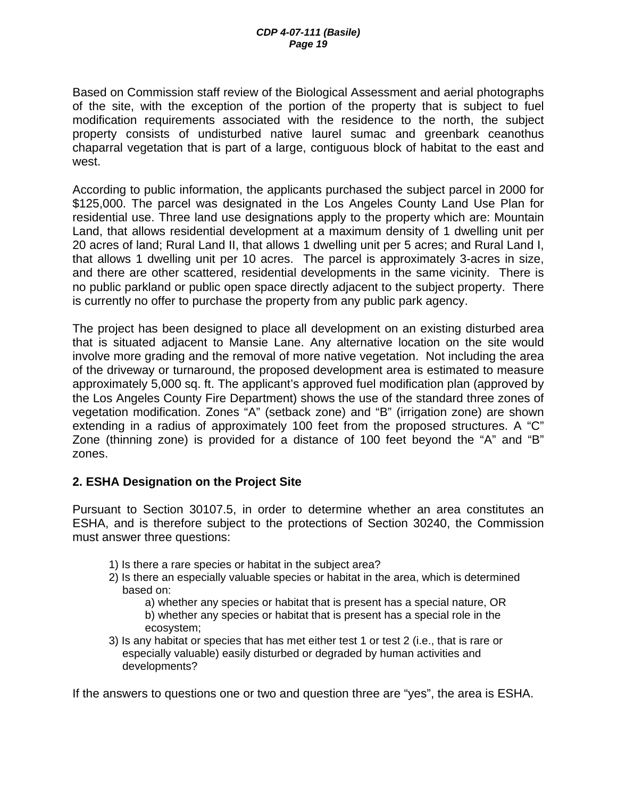Based on Commission staff review of the Biological Assessment and aerial photographs of the site, with the exception of the portion of the property that is subject to fuel modification requirements associated with the residence to the north, the subject property consists of undisturbed native laurel sumac and greenbark ceanothus chaparral vegetation that is part of a large, contiguous block of habitat to the east and west.

According to public information, the applicants purchased the subject parcel in 2000 for \$125,000. The parcel was designated in the Los Angeles County Land Use Plan for residential use. Three land use designations apply to the property which are: Mountain Land, that allows residential development at a maximum density of 1 dwelling unit per 20 acres of land; Rural Land II, that allows 1 dwelling unit per 5 acres; and Rural Land I, that allows 1 dwelling unit per 10 acres. The parcel is approximately 3-acres in size, and there are other scattered, residential developments in the same vicinity. There is no public parkland or public open space directly adjacent to the subject property. There is currently no offer to purchase the property from any public park agency.

The project has been designed to place all development on an existing disturbed area that is situated adjacent to Mansie Lane. Any alternative location on the site would involve more grading and the removal of more native vegetation. Not including the area of the driveway or turnaround, the proposed development area is estimated to measure approximately 5,000 sq. ft. The applicant's approved fuel modification plan (approved by the Los Angeles County Fire Department) shows the use of the standard three zones of vegetation modification. Zones "A" (setback zone) and "B" (irrigation zone) are shown extending in a radius of approximately 100 feet from the proposed structures. A "C" Zone (thinning zone) is provided for a distance of 100 feet beyond the "A" and "B" zones.

#### **2. ESHA Designation on the Project Site**

Pursuant to Section 30107.5, in order to determine whether an area constitutes an ESHA, and is therefore subject to the protections of Section 30240, the Commission must answer three questions:

- 1) Is there a rare species or habitat in the subject area?
- 2) Is there an especially valuable species or habitat in the area, which is determined based on:

a) whether any species or habitat that is present has a special nature, OR b) whether any species or habitat that is present has a special role in the ecosystem;

3) Is any habitat or species that has met either test 1 or test 2 (i.e., that is rare or especially valuable) easily disturbed or degraded by human activities and developments?

If the answers to questions one or two and question three are "yes", the area is ESHA.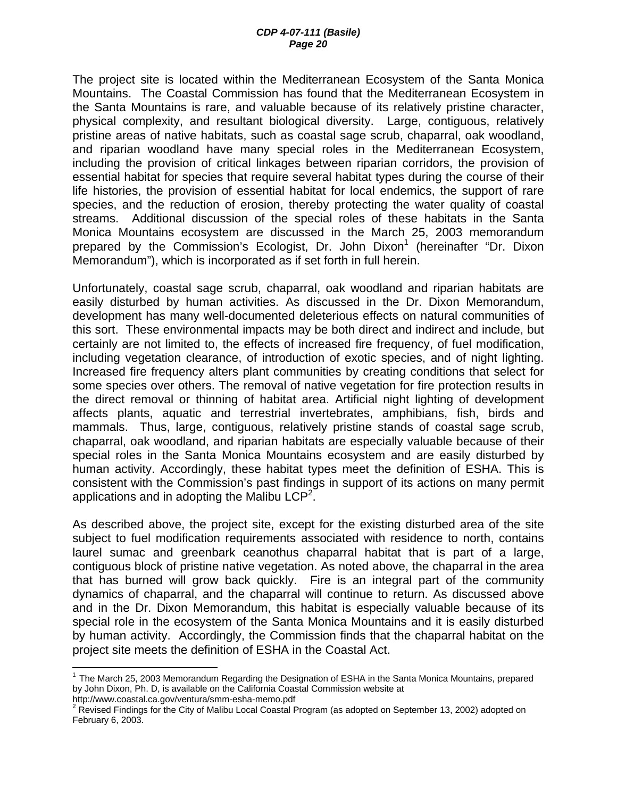The project site is located within the Mediterranean Ecosystem of the Santa Monica Mountains. The Coastal Commission has found that the Mediterranean Ecosystem in the Santa Mountains is rare, and valuable because of its relatively pristine character, physical complexity, and resultant biological diversity. Large, contiguous, relatively pristine areas of native habitats, such as coastal sage scrub, chaparral, oak woodland, and riparian woodland have many special roles in the Mediterranean Ecosystem, including the provision of critical linkages between riparian corridors, the provision of essential habitat for species that require several habitat types during the course of their life histories, the provision of essential habitat for local endemics, the support of rare species, and the reduction of erosion, thereby protecting the water quality of coastal streams. Additional discussion of the special roles of these habitats in the Santa Monica Mountains ecosystem are discussed in the March 25, 2003 memorandum prepared by the Commission's Ecologist, Dr. John Dixon<sup>1</sup> (hereinafter "Dr. Dixon Memorandum"), which is incorporated as if set forth in full herein.

Unfortunately, coastal sage scrub, chaparral, oak woodland and riparian habitats are easily disturbed by human activities. As discussed in the Dr. Dixon Memorandum, development has many well-documented deleterious effects on natural communities of this sort. These environmental impacts may be both direct and indirect and include, but certainly are not limited to, the effects of increased fire frequency, of fuel modification, including vegetation clearance, of introduction of exotic species, and of night lighting. Increased fire frequency alters plant communities by creating conditions that select for some species over others. The removal of native vegetation for fire protection results in the direct removal or thinning of habitat area. Artificial night lighting of development affects plants, aquatic and terrestrial invertebrates, amphibians, fish, birds and mammals. Thus, large, contiguous, relatively pristine stands of coastal sage scrub, chaparral, oak woodland, and riparian habitats are especially valuable because of their special roles in the Santa Monica Mountains ecosystem and are easily disturbed by human activity. Accordingly, these habitat types meet the definition of ESHA. This is consistent with the Commission's past findings in support of its actions on many permit applications and in adopting the Malibu  $LCP<sup>2</sup>$ .

As described above, the project site, except for the existing disturbed area of the site subject to fuel modification requirements associated with residence to north, contains laurel sumac and greenbark ceanothus chaparral habitat that is part of a large, contiguous block of pristine native vegetation. As noted above, the chaparral in the area that has burned will grow back quickly. Fire is an integral part of the community dynamics of chaparral, and the chaparral will continue to return. As discussed above and in the Dr. Dixon Memorandum, this habitat is especially valuable because of its special role in the ecosystem of the Santa Monica Mountains and it is easily disturbed by human activity. Accordingly, the Commission finds that the chaparral habitat on the project site meets the definition of ESHA in the Coastal Act.

http://www.coastal.ca.gov/ventura/smm-esha-memo.pdf 2

 $\overline{a}$ 

 $1$  The March 25, 2003 Memorandum Regarding the Designation of ESHA in the Santa Monica Mountains, prepared by John Dixon, Ph. D, is available on the California Coastal Commission website at

 $2$  Revised Findings for the City of Malibu Local Coastal Program (as adopted on September 13, 2002) adopted on February 6, 2003.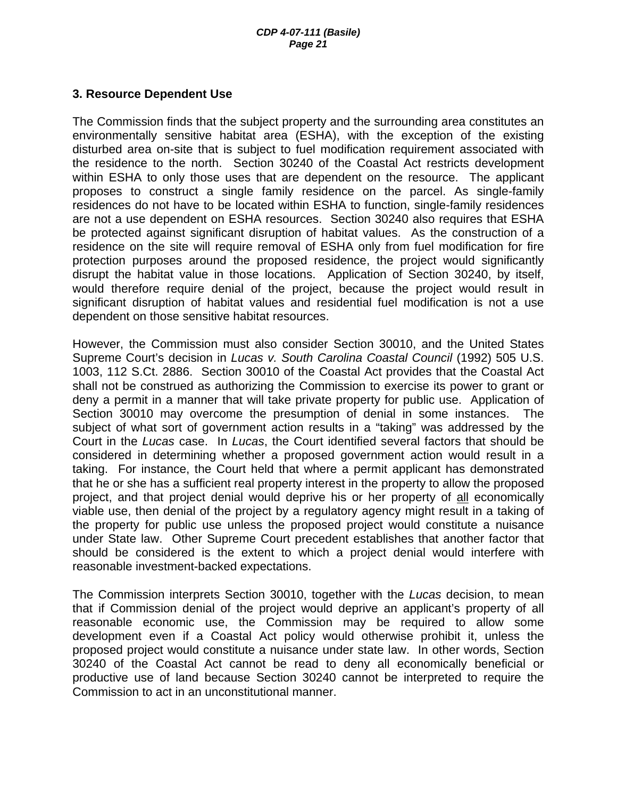#### **3. Resource Dependent Use**

The Commission finds that the subject property and the surrounding area constitutes an environmentally sensitive habitat area (ESHA), with the exception of the existing disturbed area on-site that is subject to fuel modification requirement associated with the residence to the north. Section 30240 of the Coastal Act restricts development within ESHA to only those uses that are dependent on the resource. The applicant proposes to construct a single family residence on the parcel. As single-family residences do not have to be located within ESHA to function, single-family residences are not a use dependent on ESHA resources. Section 30240 also requires that ESHA be protected against significant disruption of habitat values. As the construction of a residence on the site will require removal of ESHA only from fuel modification for fire protection purposes around the proposed residence, the project would significantly disrupt the habitat value in those locations. Application of Section 30240, by itself, would therefore require denial of the project, because the project would result in significant disruption of habitat values and residential fuel modification is not a use dependent on those sensitive habitat resources.

However, the Commission must also consider Section 30010, and the United States Supreme Court's decision in *Lucas v. South Carolina Coastal Council* (1992) 505 U.S. 1003, 112 S.Ct. 2886. Section 30010 of the Coastal Act provides that the Coastal Act shall not be construed as authorizing the Commission to exercise its power to grant or deny a permit in a manner that will take private property for public use. Application of Section 30010 may overcome the presumption of denial in some instances. The subject of what sort of government action results in a "taking" was addressed by the Court in the *Lucas* case. In *Lucas*, the Court identified several factors that should be considered in determining whether a proposed government action would result in a taking. For instance, the Court held that where a permit applicant has demonstrated that he or she has a sufficient real property interest in the property to allow the proposed project, and that project denial would deprive his or her property of all economically viable use, then denial of the project by a regulatory agency might result in a taking of the property for public use unless the proposed project would constitute a nuisance under State law. Other Supreme Court precedent establishes that another factor that should be considered is the extent to which a project denial would interfere with reasonable investment-backed expectations.

The Commission interprets Section 30010, together with the *Lucas* decision, to mean that if Commission denial of the project would deprive an applicant's property of all reasonable economic use, the Commission may be required to allow some development even if a Coastal Act policy would otherwise prohibit it, unless the proposed project would constitute a nuisance under state law. In other words, Section 30240 of the Coastal Act cannot be read to deny all economically beneficial or productive use of land because Section 30240 cannot be interpreted to require the Commission to act in an unconstitutional manner.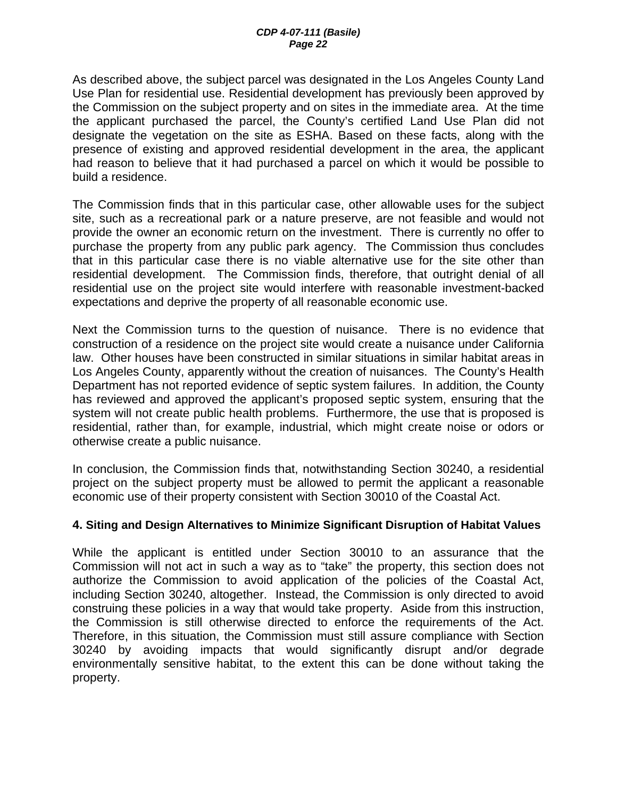As described above, the subject parcel was designated in the Los Angeles County Land Use Plan for residential use. Residential development has previously been approved by the Commission on the subject property and on sites in the immediate area. At the time the applicant purchased the parcel, the County's certified Land Use Plan did not designate the vegetation on the site as ESHA. Based on these facts, along with the presence of existing and approved residential development in the area, the applicant had reason to believe that it had purchased a parcel on which it would be possible to build a residence.

The Commission finds that in this particular case, other allowable uses for the subject site, such as a recreational park or a nature preserve, are not feasible and would not provide the owner an economic return on the investment. There is currently no offer to purchase the property from any public park agency. The Commission thus concludes that in this particular case there is no viable alternative use for the site other than residential development. The Commission finds, therefore, that outright denial of all residential use on the project site would interfere with reasonable investment-backed expectations and deprive the property of all reasonable economic use.

Next the Commission turns to the question of nuisance. There is no evidence that construction of a residence on the project site would create a nuisance under California law. Other houses have been constructed in similar situations in similar habitat areas in Los Angeles County, apparently without the creation of nuisances. The County's Health Department has not reported evidence of septic system failures. In addition, the County has reviewed and approved the applicant's proposed septic system, ensuring that the system will not create public health problems. Furthermore, the use that is proposed is residential, rather than, for example, industrial, which might create noise or odors or otherwise create a public nuisance.

In conclusion, the Commission finds that, notwithstanding Section 30240, a residential project on the subject property must be allowed to permit the applicant a reasonable economic use of their property consistent with Section 30010 of the Coastal Act.

#### **4. Siting and Design Alternatives to Minimize Significant Disruption of Habitat Values**

While the applicant is entitled under Section 30010 to an assurance that the Commission will not act in such a way as to "take" the property, this section does not authorize the Commission to avoid application of the policies of the Coastal Act, including Section 30240, altogether. Instead, the Commission is only directed to avoid construing these policies in a way that would take property. Aside from this instruction, the Commission is still otherwise directed to enforce the requirements of the Act. Therefore, in this situation, the Commission must still assure compliance with Section 30240 by avoiding impacts that would significantly disrupt and/or degrade environmentally sensitive habitat, to the extent this can be done without taking the property.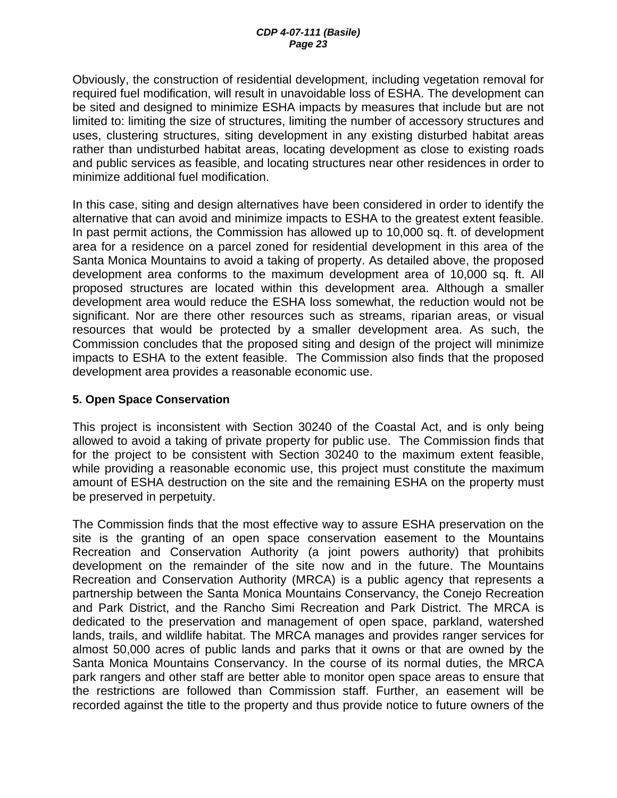Obviously, the construction of residential development, including vegetation removal for required fuel modification, will result in unavoidable loss of ESHA. The development can be sited and designed to minimize ESHA impacts by measures that include but are not limited to: limiting the size of structures, limiting the number of accessory structures and uses, clustering structures, siting development in any existing disturbed habitat areas rather than undisturbed habitat areas, locating development as close to existing roads and public services as feasible, and locating structures near other residences in order to minimize additional fuel modification.

In this case, siting and design alternatives have been considered in order to identify the alternative that can avoid and minimize impacts to ESHA to the greatest extent feasible. In past permit actions, the Commission has allowed up to 10,000 sq. ft. of development area for a residence on a parcel zoned for residential development in this area of the Santa Monica Mountains to avoid a taking of property. As detailed above, the proposed development area conforms to the maximum development area of 10,000 sq. ft. All proposed structures are located within this development area. Although a smaller development area would reduce the ESHA loss somewhat, the reduction would not be significant. Nor are there other resources such as streams, riparian areas, or visual resources that would be protected by a smaller development area. As such, the Commission concludes that the proposed siting and design of the project will minimize impacts to ESHA to the extent feasible. The Commission also finds that the proposed development area provides a reasonable economic use.

#### **5. Open Space Conservation**

This project is inconsistent with Section 30240 of the Coastal Act, and is only being allowed to avoid a taking of private property for public use. The Commission finds that for the project to be consistent with Section 30240 to the maximum extent feasible, while providing a reasonable economic use, this project must constitute the maximum amount of ESHA destruction on the site and the remaining ESHA on the property must be preserved in perpetuity.

The Commission finds that the most effective way to assure ESHA preservation on the site is the granting of an open space conservation easement to the Mountains Recreation and Conservation Authority (a joint powers authority) that prohibits development on the remainder of the site now and in the future. The Mountains Recreation and Conservation Authority (MRCA) is a public agency that represents a partnership between the Santa Monica Mountains Conservancy, the Conejo Recreation and Park District, and the Rancho Simi Recreation and Park District. The MRCA is dedicated to the preservation and management of open space, parkland, watershed lands, trails, and wildlife habitat. The MRCA manages and provides ranger services for almost 50,000 acres of public lands and parks that it owns or that are owned by the Santa Monica Mountains Conservancy. In the course of its normal duties, the MRCA park rangers and other staff are better able to monitor open space areas to ensure that the restrictions are followed than Commission staff. Further, an easement will be recorded against the title to the property and thus provide notice to future owners of the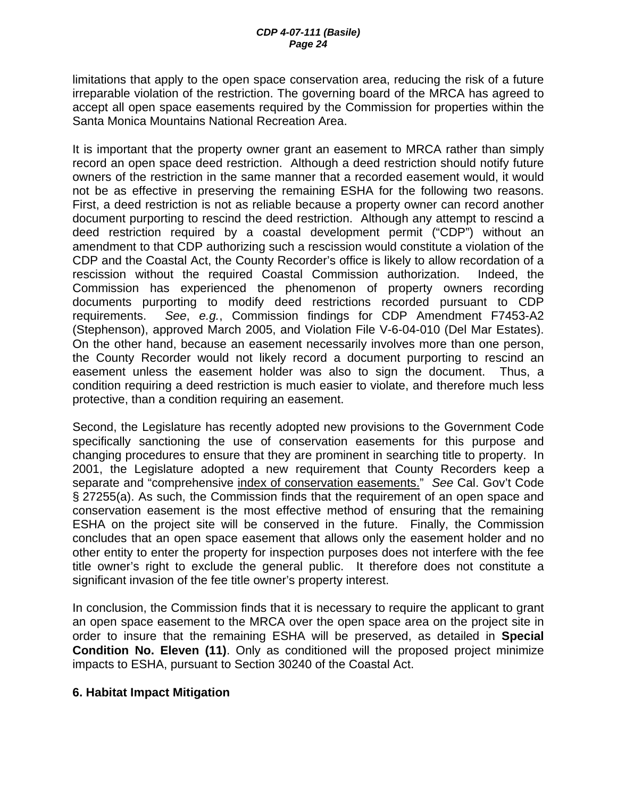limitations that apply to the open space conservation area, reducing the risk of a future irreparable violation of the restriction. The governing board of the MRCA has agreed to accept all open space easements required by the Commission for properties within the Santa Monica Mountains National Recreation Area.

It is important that the property owner grant an easement to MRCA rather than simply record an open space deed restriction. Although a deed restriction should notify future owners of the restriction in the same manner that a recorded easement would, it would not be as effective in preserving the remaining ESHA for the following two reasons. First, a deed restriction is not as reliable because a property owner can record another document purporting to rescind the deed restriction. Although any attempt to rescind a deed restriction required by a coastal development permit ("CDP") without an amendment to that CDP authorizing such a rescission would constitute a violation of the CDP and the Coastal Act, the County Recorder's office is likely to allow recordation of a rescission without the required Coastal Commission authorization. Indeed, the Commission has experienced the phenomenon of property owners recording documents purporting to modify deed restrictions recorded pursuant to CDP requirements. *See*, *e.g.*, Commission findings for CDP Amendment F7453-A2 (Stephenson), approved March 2005, and Violation File V-6-04-010 (Del Mar Estates). On the other hand, because an easement necessarily involves more than one person, the County Recorder would not likely record a document purporting to rescind an easement unless the easement holder was also to sign the document. Thus, a condition requiring a deed restriction is much easier to violate, and therefore much less protective, than a condition requiring an easement.

Second, the Legislature has recently adopted new provisions to the Government Code specifically sanctioning the use of conservation easements for this purpose and changing procedures to ensure that they are prominent in searching title to property. In 2001, the Legislature adopted a new requirement that County Recorders keep a separate and "comprehensive index of conservation easements." *See* Cal. Gov't Code § 27255(a). As such, the Commission finds that the requirement of an open space and conservation easement is the most effective method of ensuring that the remaining ESHA on the project site will be conserved in the future. Finally, the Commission concludes that an open space easement that allows only the easement holder and no other entity to enter the property for inspection purposes does not interfere with the fee title owner's right to exclude the general public. It therefore does not constitute a significant invasion of the fee title owner's property interest.

In conclusion, the Commission finds that it is necessary to require the applicant to grant an open space easement to the MRCA over the open space area on the project site in order to insure that the remaining ESHA will be preserved, as detailed in **Special Condition No. Eleven (11)**. Only as conditioned will the proposed project minimize impacts to ESHA, pursuant to Section 30240 of the Coastal Act.

#### **6. Habitat Impact Mitigation**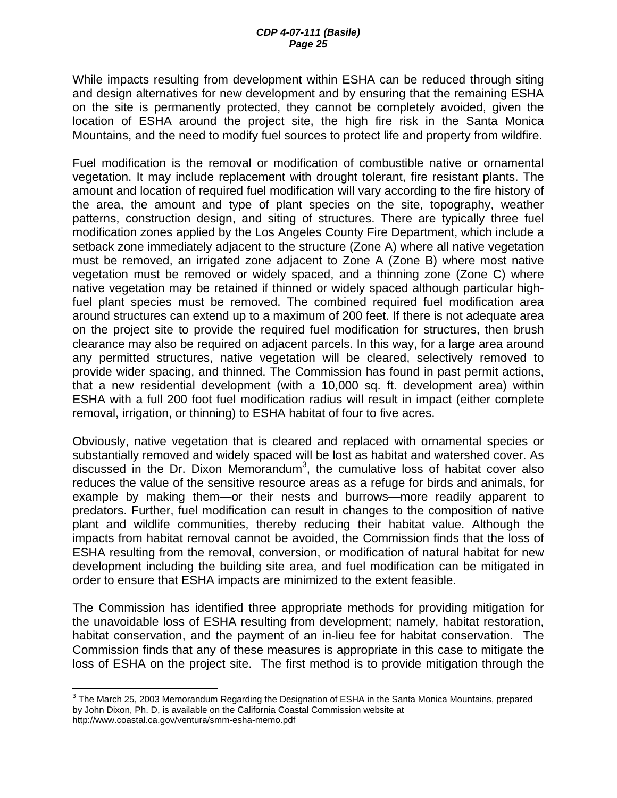While impacts resulting from development within ESHA can be reduced through siting and design alternatives for new development and by ensuring that the remaining ESHA on the site is permanently protected, they cannot be completely avoided, given the location of ESHA around the project site, the high fire risk in the Santa Monica Mountains, and the need to modify fuel sources to protect life and property from wildfire.

Fuel modification is the removal or modification of combustible native or ornamental vegetation. It may include replacement with drought tolerant, fire resistant plants. The amount and location of required fuel modification will vary according to the fire history of the area, the amount and type of plant species on the site, topography, weather patterns, construction design, and siting of structures. There are typically three fuel modification zones applied by the Los Angeles County Fire Department, which include a setback zone immediately adjacent to the structure (Zone A) where all native vegetation must be removed, an irrigated zone adjacent to Zone A (Zone B) where most native vegetation must be removed or widely spaced, and a thinning zone (Zone C) where native vegetation may be retained if thinned or widely spaced although particular highfuel plant species must be removed. The combined required fuel modification area around structures can extend up to a maximum of 200 feet. If there is not adequate area on the project site to provide the required fuel modification for structures, then brush clearance may also be required on adjacent parcels. In this way, for a large area around any permitted structures, native vegetation will be cleared, selectively removed to provide wider spacing, and thinned. The Commission has found in past permit actions, that a new residential development (with a 10,000 sq. ft. development area) within ESHA with a full 200 foot fuel modification radius will result in impact (either complete removal, irrigation, or thinning) to ESHA habitat of four to five acres.

Obviously, native vegetation that is cleared and replaced with ornamental species or substantially removed and widely spaced will be lost as habitat and watershed cover. As discussed in the Dr. Dixon Memorandum<sup>3</sup>, the cumulative loss of habitat cover also reduces the value of the sensitive resource areas as a refuge for birds and animals, for example by making them—or their nests and burrows—more readily apparent to predators. Further, fuel modification can result in changes to the composition of native plant and wildlife communities, thereby reducing their habitat value. Although the impacts from habitat removal cannot be avoided, the Commission finds that the loss of ESHA resulting from the removal, conversion, or modification of natural habitat for new development including the building site area, and fuel modification can be mitigated in order to ensure that ESHA impacts are minimized to the extent feasible.

The Commission has identified three appropriate methods for providing mitigation for the unavoidable loss of ESHA resulting from development; namely, habitat restoration, habitat conservation, and the payment of an in-lieu fee for habitat conservation. The Commission finds that any of these measures is appropriate in this case to mitigate the loss of ESHA on the project site. The first method is to provide mitigation through the

 $\overline{a}$ 

 $^3$  The March 25, 2003 Memorandum Regarding the Designation of ESHA in the Santa Monica Mountains, prepared by John Dixon, Ph. D, is available on the California Coastal Commission website at http://www.coastal.ca.gov/ventura/smm-esha-memo.pdf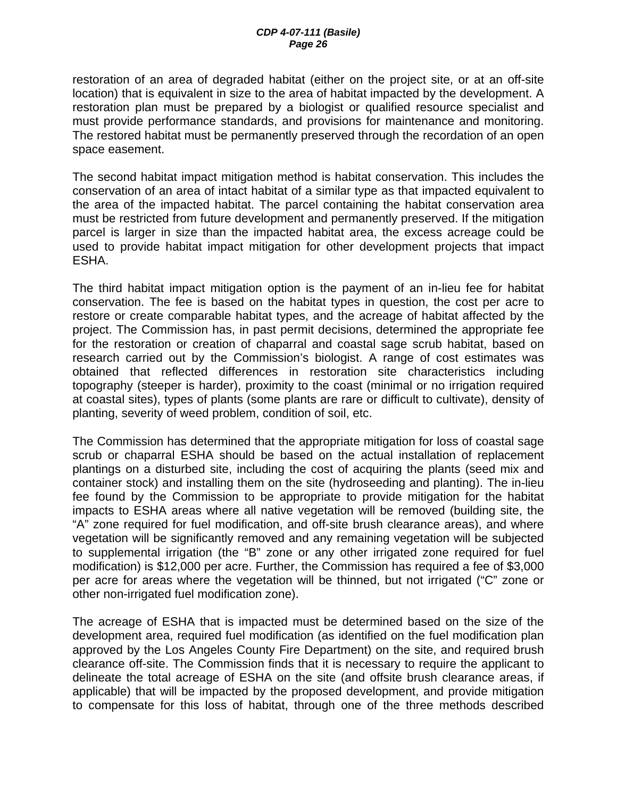restoration of an area of degraded habitat (either on the project site, or at an off-site location) that is equivalent in size to the area of habitat impacted by the development. A restoration plan must be prepared by a biologist or qualified resource specialist and must provide performance standards, and provisions for maintenance and monitoring. The restored habitat must be permanently preserved through the recordation of an open space easement.

The second habitat impact mitigation method is habitat conservation. This includes the conservation of an area of intact habitat of a similar type as that impacted equivalent to the area of the impacted habitat. The parcel containing the habitat conservation area must be restricted from future development and permanently preserved. If the mitigation parcel is larger in size than the impacted habitat area, the excess acreage could be used to provide habitat impact mitigation for other development projects that impact ESHA.

The third habitat impact mitigation option is the payment of an in-lieu fee for habitat conservation. The fee is based on the habitat types in question, the cost per acre to restore or create comparable habitat types, and the acreage of habitat affected by the project. The Commission has, in past permit decisions, determined the appropriate fee for the restoration or creation of chaparral and coastal sage scrub habitat, based on research carried out by the Commission's biologist. A range of cost estimates was obtained that reflected differences in restoration site characteristics including topography (steeper is harder), proximity to the coast (minimal or no irrigation required at coastal sites), types of plants (some plants are rare or difficult to cultivate), density of planting, severity of weed problem, condition of soil, etc.

The Commission has determined that the appropriate mitigation for loss of coastal sage scrub or chaparral ESHA should be based on the actual installation of replacement plantings on a disturbed site, including the cost of acquiring the plants (seed mix and container stock) and installing them on the site (hydroseeding and planting). The in-lieu fee found by the Commission to be appropriate to provide mitigation for the habitat impacts to ESHA areas where all native vegetation will be removed (building site, the "A" zone required for fuel modification, and off-site brush clearance areas), and where vegetation will be significantly removed and any remaining vegetation will be subjected to supplemental irrigation (the "B" zone or any other irrigated zone required for fuel modification) is \$12,000 per acre. Further, the Commission has required a fee of \$3,000 per acre for areas where the vegetation will be thinned, but not irrigated ("C" zone or other non-irrigated fuel modification zone).

The acreage of ESHA that is impacted must be determined based on the size of the development area, required fuel modification (as identified on the fuel modification plan approved by the Los Angeles County Fire Department) on the site, and required brush clearance off-site. The Commission finds that it is necessary to require the applicant to delineate the total acreage of ESHA on the site (and offsite brush clearance areas, if applicable) that will be impacted by the proposed development, and provide mitigation to compensate for this loss of habitat, through one of the three methods described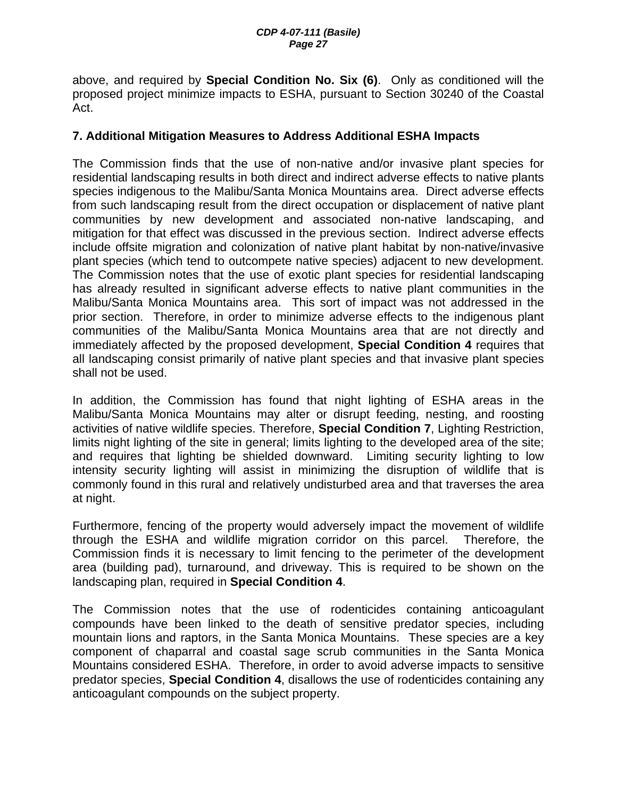above, and required by **Special Condition No. Six (6)**. Only as conditioned will the proposed project minimize impacts to ESHA, pursuant to Section 30240 of the Coastal Act.

### **7. Additional Mitigation Measures to Address Additional ESHA Impacts**

The Commission finds that the use of non-native and/or invasive plant species for residential landscaping results in both direct and indirect adverse effects to native plants species indigenous to the Malibu/Santa Monica Mountains area. Direct adverse effects from such landscaping result from the direct occupation or displacement of native plant communities by new development and associated non-native landscaping, and mitigation for that effect was discussed in the previous section. Indirect adverse effects include offsite migration and colonization of native plant habitat by non-native/invasive plant species (which tend to outcompete native species) adjacent to new development. The Commission notes that the use of exotic plant species for residential landscaping has already resulted in significant adverse effects to native plant communities in the Malibu/Santa Monica Mountains area. This sort of impact was not addressed in the prior section. Therefore, in order to minimize adverse effects to the indigenous plant communities of the Malibu/Santa Monica Mountains area that are not directly and immediately affected by the proposed development, **Special Condition 4** requires that all landscaping consist primarily of native plant species and that invasive plant species shall not be used.

In addition, the Commission has found that night lighting of ESHA areas in the Malibu/Santa Monica Mountains may alter or disrupt feeding, nesting, and roosting activities of native wildlife species. Therefore, **Special Condition 7**, Lighting Restriction, limits night lighting of the site in general; limits lighting to the developed area of the site; and requires that lighting be shielded downward. Limiting security lighting to low intensity security lighting will assist in minimizing the disruption of wildlife that is commonly found in this rural and relatively undisturbed area and that traverses the area at night.

Furthermore, fencing of the property would adversely impact the movement of wildlife through the ESHA and wildlife migration corridor on this parcel. Therefore, the Commission finds it is necessary to limit fencing to the perimeter of the development area (building pad), turnaround, and driveway. This is required to be shown on the landscaping plan, required in **Special Condition 4**.

The Commission notes that the use of rodenticides containing anticoagulant compounds have been linked to the death of sensitive predator species, including mountain lions and raptors, in the Santa Monica Mountains. These species are a key component of chaparral and coastal sage scrub communities in the Santa Monica Mountains considered ESHA. Therefore, in order to avoid adverse impacts to sensitive predator species, **Special Condition 4**, disallows the use of rodenticides containing any anticoagulant compounds on the subject property.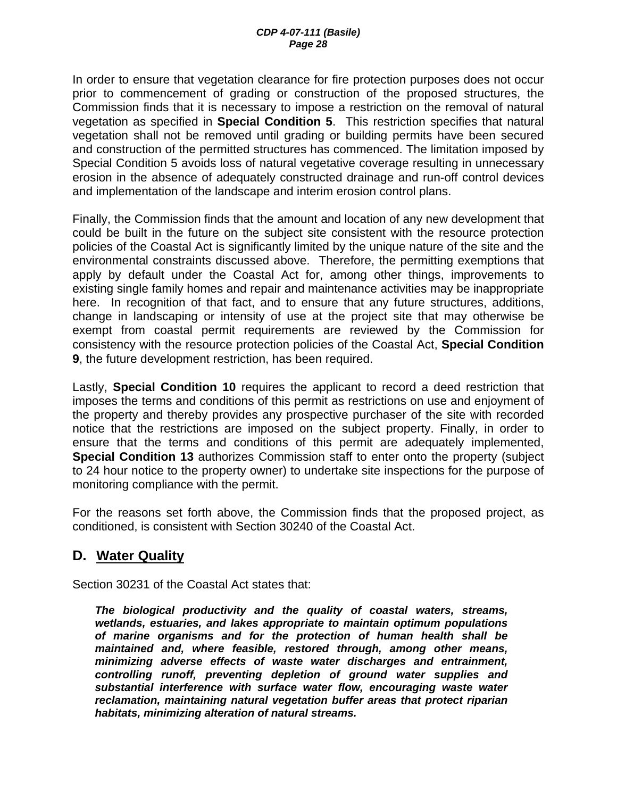In order to ensure that vegetation clearance for fire protection purposes does not occur prior to commencement of grading or construction of the proposed structures, the Commission finds that it is necessary to impose a restriction on the removal of natural vegetation as specified in **Special Condition 5**. This restriction specifies that natural vegetation shall not be removed until grading or building permits have been secured and construction of the permitted structures has commenced. The limitation imposed by Special Condition 5 avoids loss of natural vegetative coverage resulting in unnecessary erosion in the absence of adequately constructed drainage and run-off control devices and implementation of the landscape and interim erosion control plans.

Finally, the Commission finds that the amount and location of any new development that could be built in the future on the subject site consistent with the resource protection policies of the Coastal Act is significantly limited by the unique nature of the site and the environmental constraints discussed above. Therefore, the permitting exemptions that apply by default under the Coastal Act for, among other things, improvements to existing single family homes and repair and maintenance activities may be inappropriate here. In recognition of that fact, and to ensure that any future structures, additions, change in landscaping or intensity of use at the project site that may otherwise be exempt from coastal permit requirements are reviewed by the Commission for consistency with the resource protection policies of the Coastal Act, **Special Condition 9**, the future development restriction, has been required.

Lastly, **Special Condition 10** requires the applicant to record a deed restriction that imposes the terms and conditions of this permit as restrictions on use and enjoyment of the property and thereby provides any prospective purchaser of the site with recorded notice that the restrictions are imposed on the subject property. Finally, in order to ensure that the terms and conditions of this permit are adequately implemented, **Special Condition 13** authorizes Commission staff to enter onto the property (subject to 24 hour notice to the property owner) to undertake site inspections for the purpose of monitoring compliance with the permit.

For the reasons set forth above, the Commission finds that the proposed project, as conditioned, is consistent with Section 30240 of the Coastal Act.

## **D. Water Quality**

Section 30231 of the Coastal Act states that:

*The biological productivity and the quality of coastal waters, streams, wetlands, estuaries, and lakes appropriate to maintain optimum populations of marine organisms and for the protection of human health shall be maintained and, where feasible, restored through, among other means, minimizing adverse effects of waste water discharges and entrainment, controlling runoff, preventing depletion of ground water supplies and substantial interference with surface water flow, encouraging waste water reclamation, maintaining natural vegetation buffer areas that protect riparian habitats, minimizing alteration of natural streams.*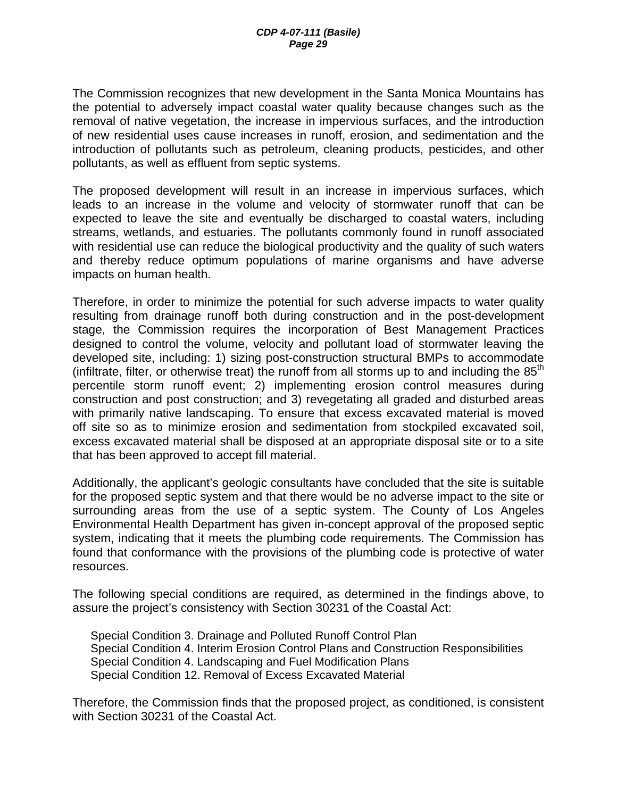The Commission recognizes that new development in the Santa Monica Mountains has the potential to adversely impact coastal water quality because changes such as the removal of native vegetation, the increase in impervious surfaces, and the introduction of new residential uses cause increases in runoff, erosion, and sedimentation and the introduction of pollutants such as petroleum, cleaning products, pesticides, and other pollutants, as well as effluent from septic systems.

The proposed development will result in an increase in impervious surfaces, which leads to an increase in the volume and velocity of stormwater runoff that can be expected to leave the site and eventually be discharged to coastal waters, including streams, wetlands, and estuaries. The pollutants commonly found in runoff associated with residential use can reduce the biological productivity and the quality of such waters and thereby reduce optimum populations of marine organisms and have adverse impacts on human health.

Therefore, in order to minimize the potential for such adverse impacts to water quality resulting from drainage runoff both during construction and in the post-development stage, the Commission requires the incorporation of Best Management Practices designed to control the volume, velocity and pollutant load of stormwater leaving the developed site, including: 1) sizing post-construction structural BMPs to accommodate (infiltrate, filter, or otherwise treat) the runoff from all storms up to and including the  $85<sup>th</sup>$ percentile storm runoff event; 2) implementing erosion control measures during construction and post construction; and 3) revegetating all graded and disturbed areas with primarily native landscaping. To ensure that excess excavated material is moved off site so as to minimize erosion and sedimentation from stockpiled excavated soil, excess excavated material shall be disposed at an appropriate disposal site or to a site that has been approved to accept fill material.

Additionally, the applicant's geologic consultants have concluded that the site is suitable for the proposed septic system and that there would be no adverse impact to the site or surrounding areas from the use of a septic system. The County of Los Angeles Environmental Health Department has given in-concept approval of the proposed septic system, indicating that it meets the plumbing code requirements. The Commission has found that conformance with the provisions of the plumbing code is protective of water resources.

The following special conditions are required, as determined in the findings above, to assure the project's consistency with Section 30231 of the Coastal Act:

Special Condition 3. Drainage and Polluted Runoff Control Plan Special Condition 4. Interim Erosion Control Plans and Construction Responsibilities Special Condition 4. Landscaping and Fuel Modification Plans Special Condition 12. Removal of Excess Excavated Material

Therefore, the Commission finds that the proposed project, as conditioned, is consistent with Section 30231 of the Coastal Act.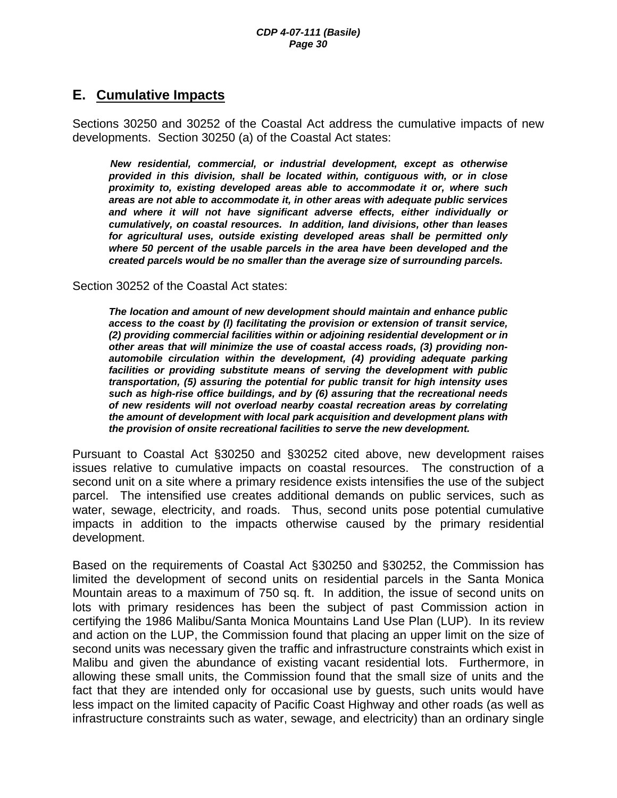### **E. Cumulative Impacts**

Sections 30250 and 30252 of the Coastal Act address the cumulative impacts of new developments. Section 30250 (a) of the Coastal Act states:

*New residential, commercial, or industrial development, except as otherwise provided in this division, shall be located within, contiguous with, or in close proximity to, existing developed areas able to accommodate it or, where such areas are not able to accommodate it, in other areas with adequate public services and where it will not have significant adverse effects, either individually or cumulatively, on coastal resources. In addition, land divisions, other than leases for agricultural uses, outside existing developed areas shall be permitted only where 50 percent of the usable parcels in the area have been developed and the created parcels would be no smaller than the average size of surrounding parcels.* 

Section 30252 of the Coastal Act states:

*The location and amount of new development should maintain and enhance public access to the coast by (l) facilitating the provision or extension of transit service, (2) providing commercial facilities within or adjoining residential development or in other areas that will minimize the use of coastal access roads, (3) providing nonautomobile circulation within the development, (4) providing adequate parking facilities or providing substitute means of serving the development with public transportation, (5) assuring the potential for public transit for high intensity uses such as high-rise office buildings, and by (6) assuring that the recreational needs of new residents will not overload nearby coastal recreation areas by correlating the amount of development with local park acquisition and development plans with the provision of onsite recreational facilities to serve the new development.* 

Pursuant to Coastal Act §30250 and §30252 cited above, new development raises issues relative to cumulative impacts on coastal resources. The construction of a second unit on a site where a primary residence exists intensifies the use of the subject parcel. The intensified use creates additional demands on public services, such as water, sewage, electricity, and roads. Thus, second units pose potential cumulative impacts in addition to the impacts otherwise caused by the primary residential development.

Based on the requirements of Coastal Act §30250 and §30252, the Commission has limited the development of second units on residential parcels in the Santa Monica Mountain areas to a maximum of 750 sq. ft. In addition, the issue of second units on lots with primary residences has been the subject of past Commission action in certifying the 1986 Malibu/Santa Monica Mountains Land Use Plan (LUP). In its review and action on the LUP, the Commission found that placing an upper limit on the size of second units was necessary given the traffic and infrastructure constraints which exist in Malibu and given the abundance of existing vacant residential lots. Furthermore, in allowing these small units, the Commission found that the small size of units and the fact that they are intended only for occasional use by guests, such units would have less impact on the limited capacity of Pacific Coast Highway and other roads (as well as infrastructure constraints such as water, sewage, and electricity) than an ordinary single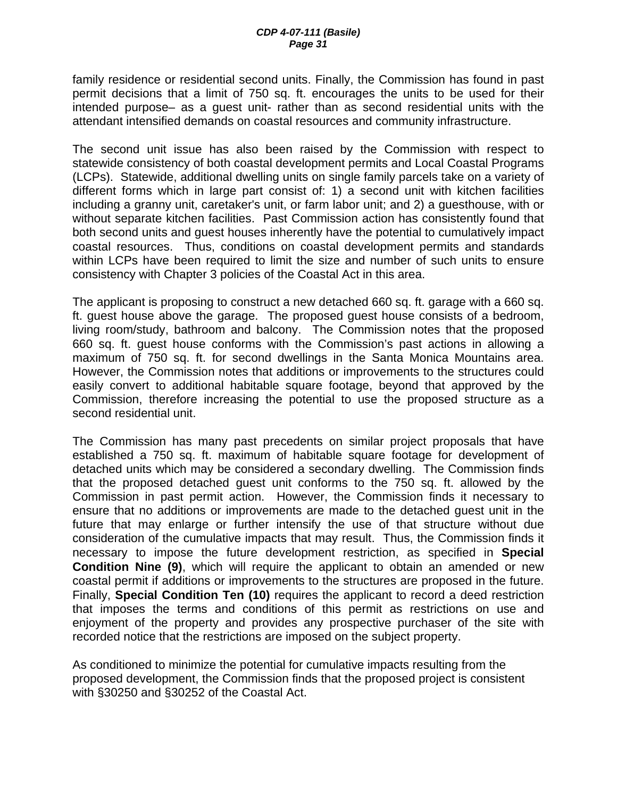family residence or residential second units. Finally, the Commission has found in past permit decisions that a limit of 750 sq. ft. encourages the units to be used for their intended purpose– as a guest unit- rather than as second residential units with the attendant intensified demands on coastal resources and community infrastructure.

The second unit issue has also been raised by the Commission with respect to statewide consistency of both coastal development permits and Local Coastal Programs (LCPs). Statewide, additional dwelling units on single family parcels take on a variety of different forms which in large part consist of: 1) a second unit with kitchen facilities including a granny unit, caretaker's unit, or farm labor unit; and 2) a guesthouse, with or without separate kitchen facilities. Past Commission action has consistently found that both second units and guest houses inherently have the potential to cumulatively impact coastal resources. Thus, conditions on coastal development permits and standards within LCPs have been required to limit the size and number of such units to ensure consistency with Chapter 3 policies of the Coastal Act in this area.

The applicant is proposing to construct a new detached 660 sq. ft. garage with a 660 sq. ft. guest house above the garage. The proposed guest house consists of a bedroom, living room/study, bathroom and balcony. The Commission notes that the proposed 660 sq. ft. guest house conforms with the Commission's past actions in allowing a maximum of 750 sq. ft. for second dwellings in the Santa Monica Mountains area. However, the Commission notes that additions or improvements to the structures could easily convert to additional habitable square footage, beyond that approved by the Commission, therefore increasing the potential to use the proposed structure as a second residential unit.

The Commission has many past precedents on similar project proposals that have established a 750 sq. ft. maximum of habitable square footage for development of detached units which may be considered a secondary dwelling. The Commission finds that the proposed detached guest unit conforms to the 750 sq. ft. allowed by the Commission in past permit action. However, the Commission finds it necessary to ensure that no additions or improvements are made to the detached guest unit in the future that may enlarge or further intensify the use of that structure without due consideration of the cumulative impacts that may result. Thus, the Commission finds it necessary to impose the future development restriction, as specified in **Special Condition Nine (9)**, which will require the applicant to obtain an amended or new coastal permit if additions or improvements to the structures are proposed in the future. Finally, **Special Condition Ten (10)** requires the applicant to record a deed restriction that imposes the terms and conditions of this permit as restrictions on use and enjoyment of the property and provides any prospective purchaser of the site with recorded notice that the restrictions are imposed on the subject property.

As conditioned to minimize the potential for cumulative impacts resulting from the proposed development, the Commission finds that the proposed project is consistent with §30250 and §30252 of the Coastal Act.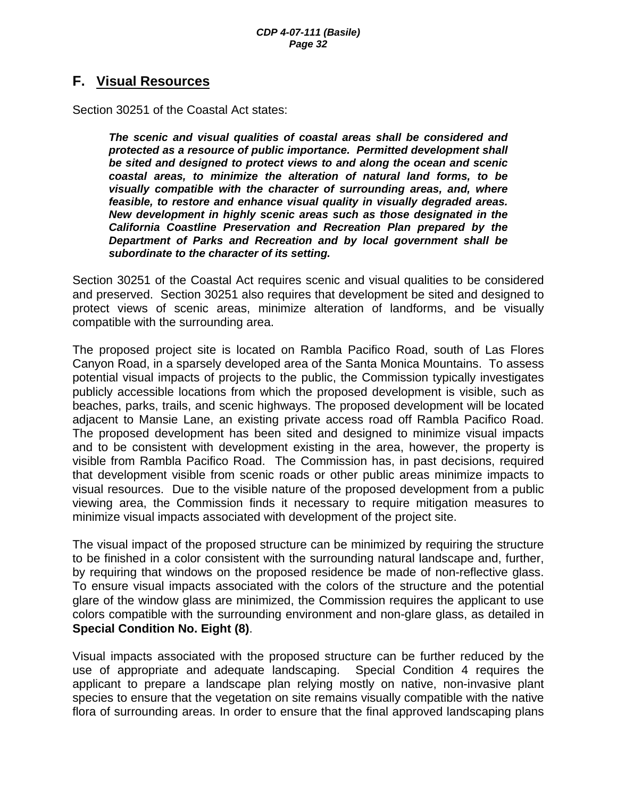### **F. Visual Resources**

Section 30251 of the Coastal Act states:

*The scenic and visual qualities of coastal areas shall be considered and protected as a resource of public importance. Permitted development shall be sited and designed to protect views to and along the ocean and scenic coastal areas, to minimize the alteration of natural land forms, to be visually compatible with the character of surrounding areas, and, where feasible, to restore and enhance visual quality in visually degraded areas. New development in highly scenic areas such as those designated in the California Coastline Preservation and Recreation Plan prepared by the Department of Parks and Recreation and by local government shall be subordinate to the character of its setting.* 

Section 30251 of the Coastal Act requires scenic and visual qualities to be considered and preserved. Section 30251 also requires that development be sited and designed to protect views of scenic areas, minimize alteration of landforms, and be visually compatible with the surrounding area.

The proposed project site is located on Rambla Pacifico Road, south of Las Flores Canyon Road, in a sparsely developed area of the Santa Monica Mountains. To assess potential visual impacts of projects to the public, the Commission typically investigates publicly accessible locations from which the proposed development is visible, such as beaches, parks, trails, and scenic highways. The proposed development will be located adjacent to Mansie Lane, an existing private access road off Rambla Pacifico Road. The proposed development has been sited and designed to minimize visual impacts and to be consistent with development existing in the area, however, the property is visible from Rambla Pacifico Road. The Commission has, in past decisions, required that development visible from scenic roads or other public areas minimize impacts to visual resources. Due to the visible nature of the proposed development from a public viewing area, the Commission finds it necessary to require mitigation measures to minimize visual impacts associated with development of the project site.

The visual impact of the proposed structure can be minimized by requiring the structure to be finished in a color consistent with the surrounding natural landscape and, further, by requiring that windows on the proposed residence be made of non-reflective glass. To ensure visual impacts associated with the colors of the structure and the potential glare of the window glass are minimized, the Commission requires the applicant to use colors compatible with the surrounding environment and non-glare glass, as detailed in **Special Condition No. Eight (8)**.

Visual impacts associated with the proposed structure can be further reduced by the use of appropriate and adequate landscaping. Special Condition 4 requires the applicant to prepare a landscape plan relying mostly on native, non-invasive plant species to ensure that the vegetation on site remains visually compatible with the native flora of surrounding areas. In order to ensure that the final approved landscaping plans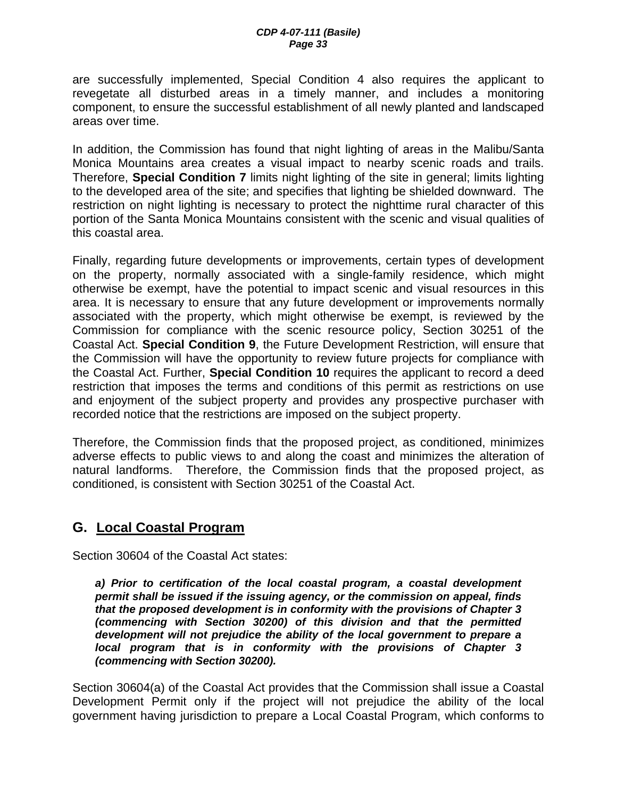are successfully implemented, Special Condition 4 also requires the applicant to revegetate all disturbed areas in a timely manner, and includes a monitoring component, to ensure the successful establishment of all newly planted and landscaped areas over time.

In addition, the Commission has found that night lighting of areas in the Malibu/Santa Monica Mountains area creates a visual impact to nearby scenic roads and trails. Therefore, **Special Condition 7** limits night lighting of the site in general; limits lighting to the developed area of the site; and specifies that lighting be shielded downward. The restriction on night lighting is necessary to protect the nighttime rural character of this portion of the Santa Monica Mountains consistent with the scenic and visual qualities of this coastal area.

Finally, regarding future developments or improvements, certain types of development on the property, normally associated with a single-family residence, which might otherwise be exempt, have the potential to impact scenic and visual resources in this area. It is necessary to ensure that any future development or improvements normally associated with the property, which might otherwise be exempt, is reviewed by the Commission for compliance with the scenic resource policy, Section 30251 of the Coastal Act. **Special Condition 9**, the Future Development Restriction, will ensure that the Commission will have the opportunity to review future projects for compliance with the Coastal Act. Further, **Special Condition 10** requires the applicant to record a deed restriction that imposes the terms and conditions of this permit as restrictions on use and enjoyment of the subject property and provides any prospective purchaser with recorded notice that the restrictions are imposed on the subject property.

Therefore, the Commission finds that the proposed project, as conditioned, minimizes adverse effects to public views to and along the coast and minimizes the alteration of natural landforms. Therefore, the Commission finds that the proposed project, as conditioned, is consistent with Section 30251 of the Coastal Act.

## **G. Local Coastal Program**

Section 30604 of the Coastal Act states:

*a) Prior to certification of the local coastal program, a coastal development permit shall be issued if the issuing agency, or the commission on appeal, finds that the proposed development is in conformity with the provisions of Chapter 3 (commencing with Section 30200) of this division and that the permitted development will not prejudice the ability of the local government to prepare a local program that is in conformity with the provisions of Chapter 3 (commencing with Section 30200).* 

Section 30604(a) of the Coastal Act provides that the Commission shall issue a Coastal Development Permit only if the project will not prejudice the ability of the local government having jurisdiction to prepare a Local Coastal Program, which conforms to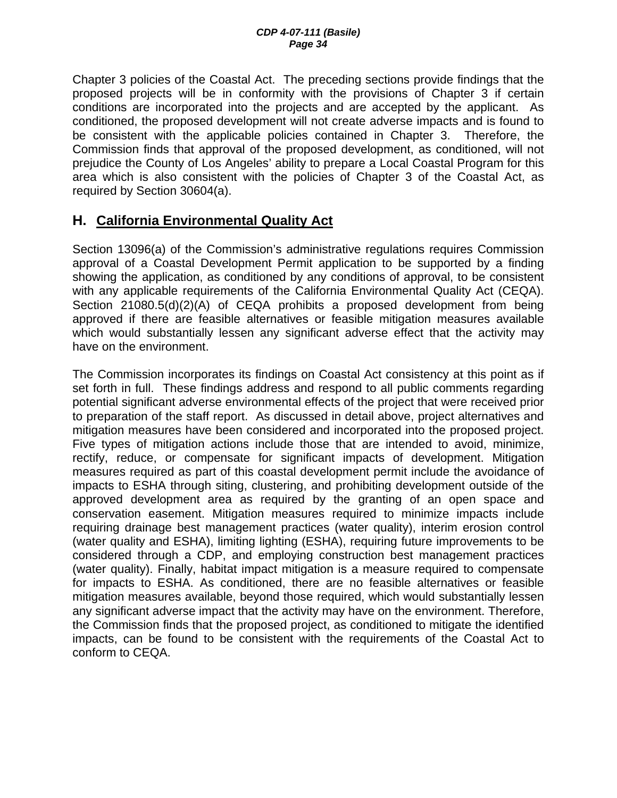Chapter 3 policies of the Coastal Act. The preceding sections provide findings that the proposed projects will be in conformity with the provisions of Chapter 3 if certain conditions are incorporated into the projects and are accepted by the applicant. As conditioned, the proposed development will not create adverse impacts and is found to be consistent with the applicable policies contained in Chapter 3. Therefore, the Commission finds that approval of the proposed development, as conditioned, will not prejudice the County of Los Angeles' ability to prepare a Local Coastal Program for this area which is also consistent with the policies of Chapter 3 of the Coastal Act, as required by Section 30604(a).

## **H. California Environmental Quality Act**

Section 13096(a) of the Commission's administrative regulations requires Commission approval of a Coastal Development Permit application to be supported by a finding showing the application, as conditioned by any conditions of approval, to be consistent with any applicable requirements of the California Environmental Quality Act (CEQA). Section 21080.5(d)(2)(A) of CEQA prohibits a proposed development from being approved if there are feasible alternatives or feasible mitigation measures available which would substantially lessen any significant adverse effect that the activity may have on the environment.

The Commission incorporates its findings on Coastal Act consistency at this point as if set forth in full. These findings address and respond to all public comments regarding potential significant adverse environmental effects of the project that were received prior to preparation of the staff report. As discussed in detail above, project alternatives and mitigation measures have been considered and incorporated into the proposed project. Five types of mitigation actions include those that are intended to avoid, minimize, rectify, reduce, or compensate for significant impacts of development. Mitigation measures required as part of this coastal development permit include the avoidance of impacts to ESHA through siting, clustering, and prohibiting development outside of the approved development area as required by the granting of an open space and conservation easement. Mitigation measures required to minimize impacts include requiring drainage best management practices (water quality), interim erosion control (water quality and ESHA), limiting lighting (ESHA), requiring future improvements to be considered through a CDP, and employing construction best management practices (water quality). Finally, habitat impact mitigation is a measure required to compensate for impacts to ESHA. As conditioned, there are no feasible alternatives or feasible mitigation measures available, beyond those required, which would substantially lessen any significant adverse impact that the activity may have on the environment. Therefore, the Commission finds that the proposed project, as conditioned to mitigate the identified impacts, can be found to be consistent with the requirements of the Coastal Act to conform to CEQA.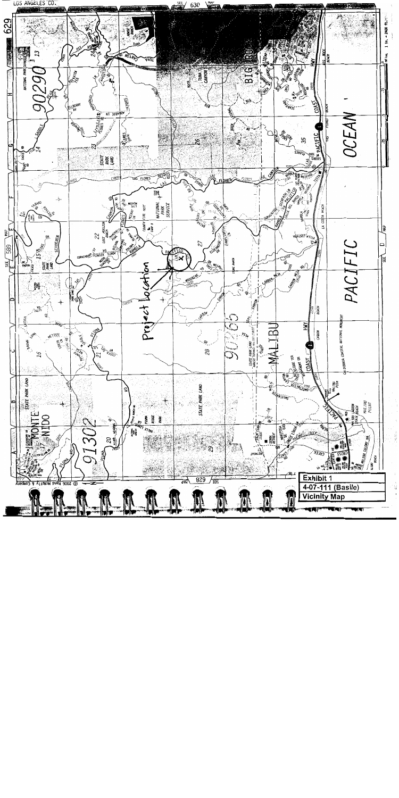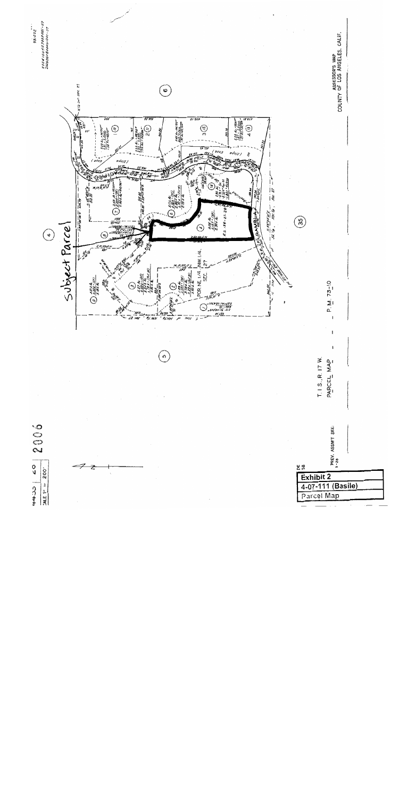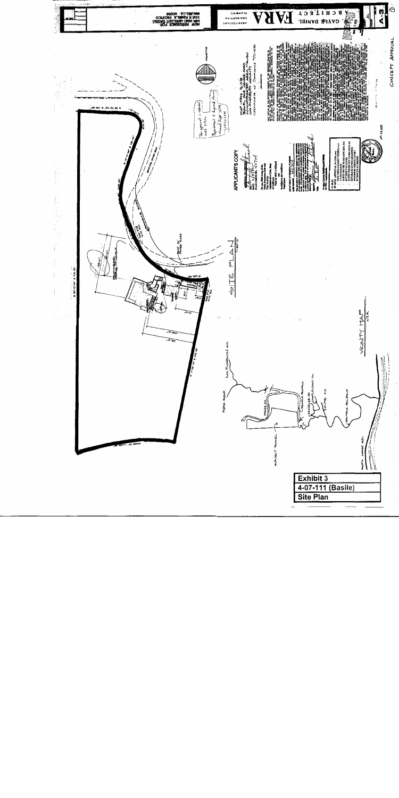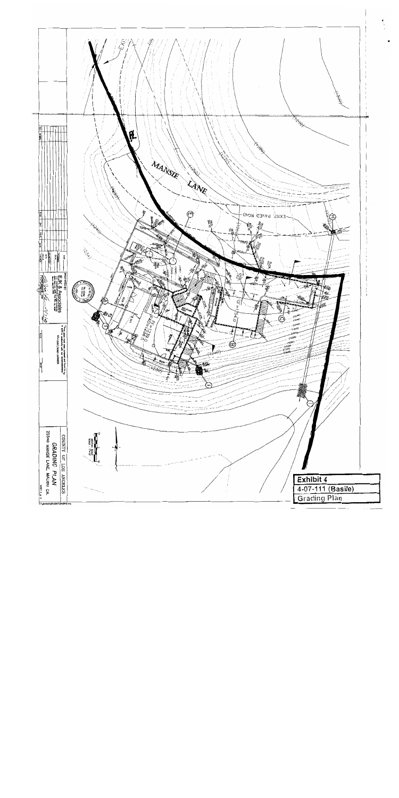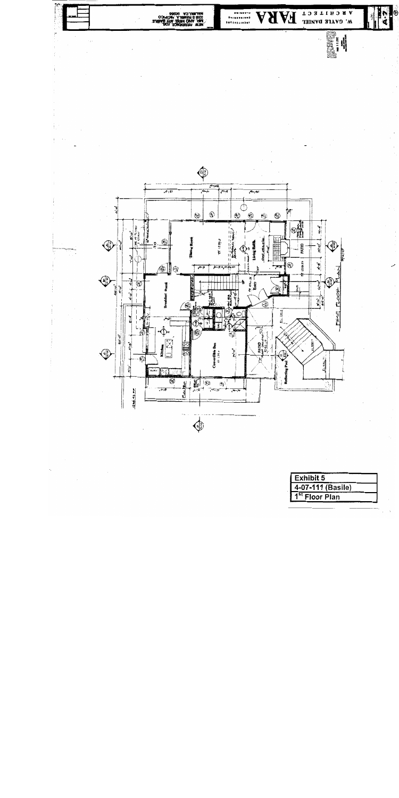

| <b>Exhibit 5</b>           |  |
|----------------------------|--|
| 4-07-111 (Basile)          |  |
| 1 <sup>st</sup> Floor Plan |  |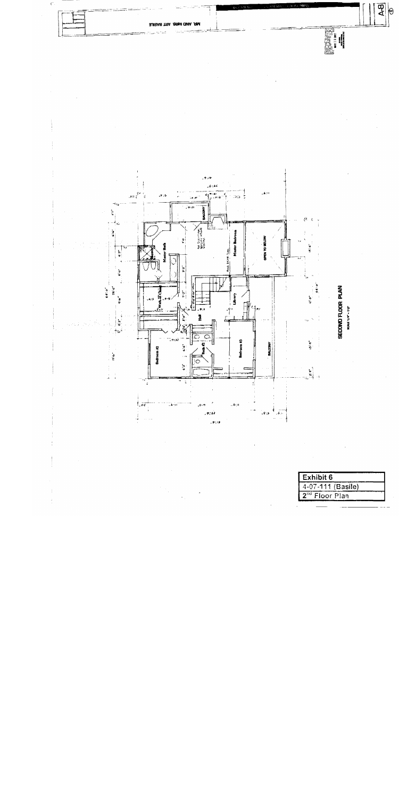

| Exhibit 6                     |
|-------------------------------|
| 4-07-111 (Basile)             |
| 2 <sup>nd</sup><br>Floor Plan |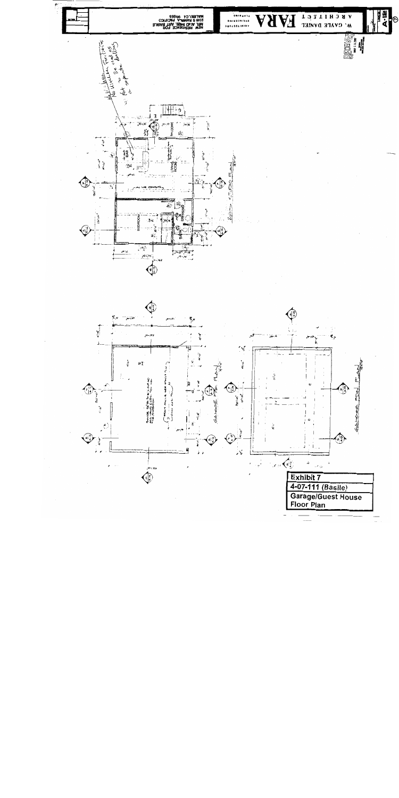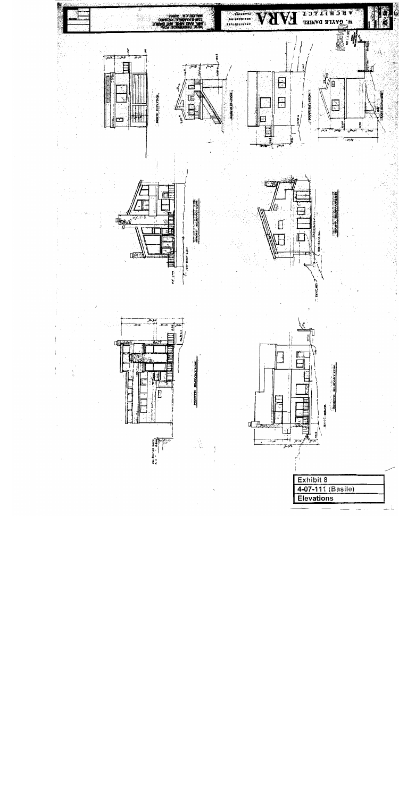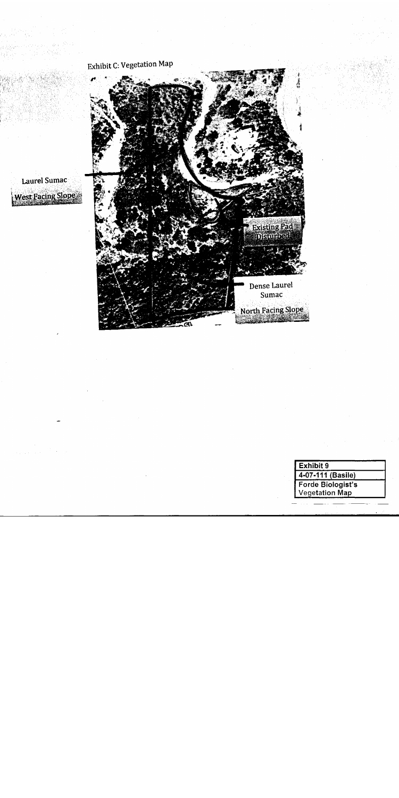

Laurel Sumac West Facing Slope

SS 20.

- iy

いっけいしさく

| Exhibit 9             |
|-----------------------|
| 4-07-111 (Basile)     |
| Forde Biologist's     |
| <b>Vegetation Map</b> |